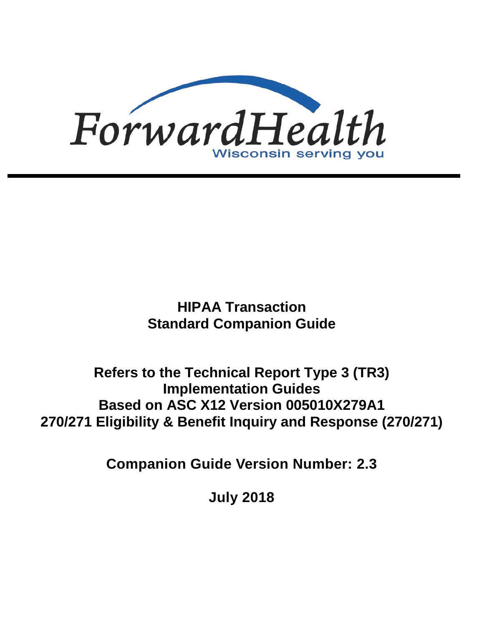

**HIPAA Transaction Standard Companion Guide**

**Refers to the Technical Report Type 3 (TR3) Implementation Guides Based on ASC X12 Version 005010X279A1 270/271 Eligibility & Benefit Inquiry and Response (270/271)**

**Companion Guide Version Number: 2.3**

**July 2018**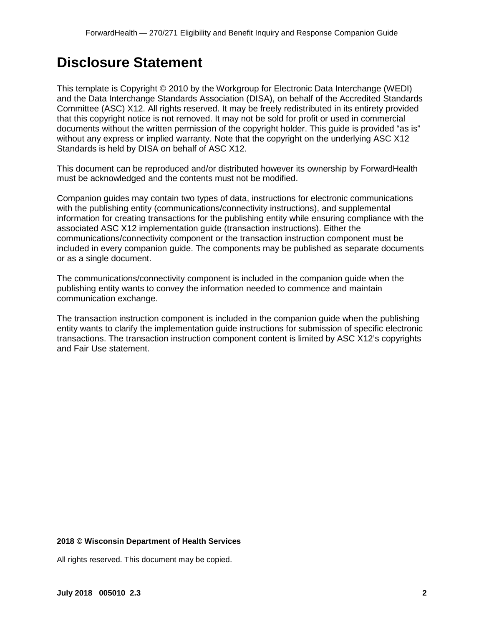# **Disclosure Statement**

This template is Copyright © 2010 by the Workgroup for Electronic Data Interchange (WEDI) and the Data Interchange Standards Association (DISA), on behalf of the Accredited Standards Committee (ASC) X12. All rights reserved. It may be freely redistributed in its entirety provided that this copyright notice is not removed. It may not be sold for profit or used in commercial documents without the written permission of the copyright holder. This guide is provided "as is" without any express or implied warranty. Note that the copyright on the underlying ASC X12 Standards is held by DISA on behalf of ASC X12.

This document can be reproduced and/or distributed however its ownership by ForwardHealth must be acknowledged and the contents must not be modified.

Companion guides may contain two types of data, instructions for electronic communications with the publishing entity (communications/connectivity instructions), and supplemental information for creating transactions for the publishing entity while ensuring compliance with the associated ASC X12 implementation guide (transaction instructions). Either the communications/connectivity component or the transaction instruction component must be included in every companion guide. The components may be published as separate documents or as a single document.

The communications/connectivity component is included in the companion guide when the publishing entity wants to convey the information needed to commence and maintain communication exchange.

The transaction instruction component is included in the companion guide when the publishing entity wants to clarify the implementation guide instructions for submission of specific electronic transactions. The transaction instruction component content is limited by ASC X12's copyrights and Fair Use statement.

#### **2018 © Wisconsin Department of Health Services**

All rights reserved. This document may be copied.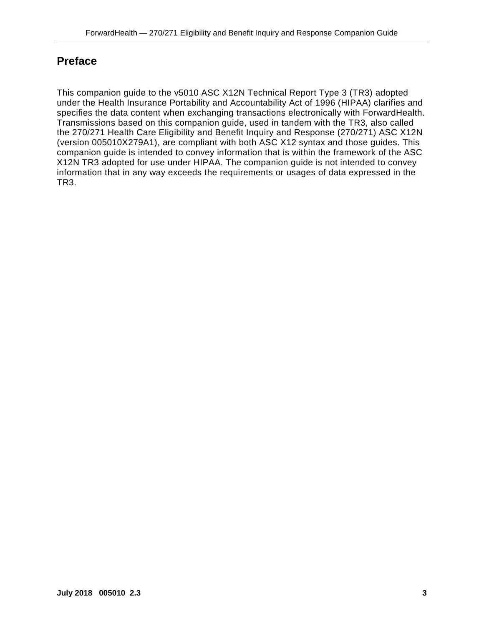## **Preface**

This companion guide to the v5010 ASC X12N Technical Report Type 3 (TR3) adopted under the Health Insurance Portability and Accountability Act of 1996 (HIPAA) clarifies and specifies the data content when exchanging transactions electronically with ForwardHealth. Transmissions based on this companion guide, used in tandem with the TR3, also called the 270/271 Health Care Eligibility and Benefit Inquiry and Response (270/271) ASC X12N (version 005010X279A1), are compliant with both ASC X12 syntax and those guides. This companion guide is intended to convey information that is within the framework of the ASC X12N TR3 adopted for use under HIPAA. The companion guide is not intended to convey information that in any way exceeds the requirements or usages of data expressed in the TR3.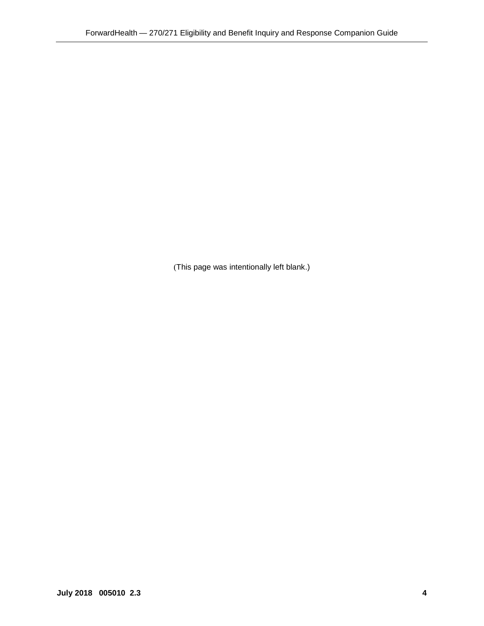(This page was intentionally left blank.)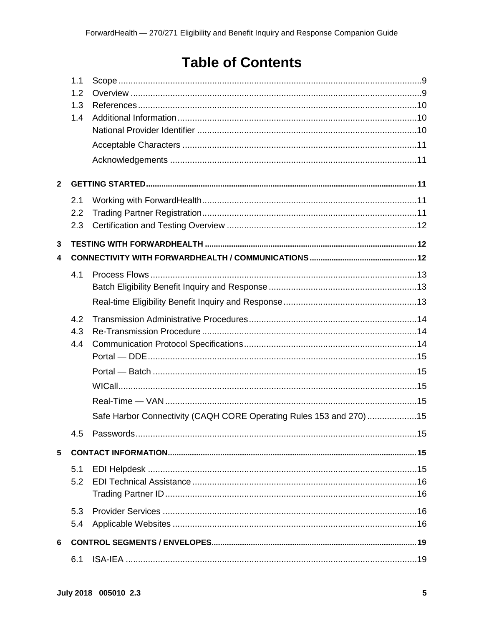# **Table of Contents**

|                         | 1.1        |                                                                     |  |
|-------------------------|------------|---------------------------------------------------------------------|--|
|                         | 1.2<br>1.3 |                                                                     |  |
|                         | 1.4        |                                                                     |  |
|                         |            |                                                                     |  |
|                         |            |                                                                     |  |
|                         |            |                                                                     |  |
| $\overline{\mathbf{2}}$ |            |                                                                     |  |
|                         | 2.1        |                                                                     |  |
|                         | 2.2        |                                                                     |  |
|                         | 2.3        |                                                                     |  |
| 3                       |            |                                                                     |  |
| 4                       |            |                                                                     |  |
|                         | 4.1        |                                                                     |  |
|                         |            |                                                                     |  |
|                         |            |                                                                     |  |
|                         | 4.2        |                                                                     |  |
|                         | 4.3        |                                                                     |  |
|                         | 4.4        |                                                                     |  |
|                         |            |                                                                     |  |
|                         |            |                                                                     |  |
|                         |            |                                                                     |  |
|                         |            |                                                                     |  |
|                         |            | Safe Harbor Connectivity (CAQH CORE Operating Rules 153 and 270) 15 |  |
|                         | 4.5        |                                                                     |  |
| 5                       |            |                                                                     |  |
|                         | 5.1        |                                                                     |  |
|                         | 5.2        |                                                                     |  |
|                         |            |                                                                     |  |
|                         | 5.3        |                                                                     |  |
|                         | 5.4        |                                                                     |  |
| 6                       |            |                                                                     |  |
|                         | 6.1        |                                                                     |  |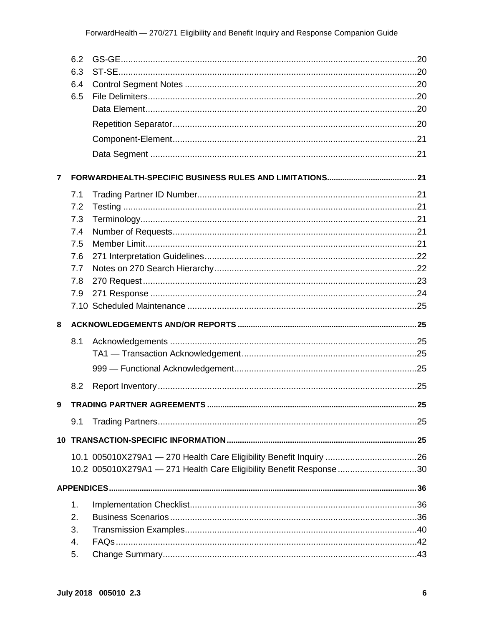|                | 6.2<br>6.3<br>6.4<br>6.5 |                                                                     |    |
|----------------|--------------------------|---------------------------------------------------------------------|----|
| $\overline{7}$ |                          |                                                                     |    |
|                | 7.1                      |                                                                     |    |
|                | 7.2                      |                                                                     |    |
|                | 7.3                      |                                                                     |    |
|                | 7.4                      |                                                                     |    |
|                | 7.5                      |                                                                     |    |
|                | 7.6                      |                                                                     |    |
|                | 7.7                      |                                                                     |    |
|                | 7.8                      |                                                                     |    |
|                | 7.9                      |                                                                     |    |
|                |                          |                                                                     |    |
| 8              |                          |                                                                     |    |
|                | 8.1                      |                                                                     |    |
|                |                          |                                                                     |    |
|                |                          |                                                                     |    |
|                | 8.2                      |                                                                     |    |
| 9              |                          | <b>TRADING PARTNER AGREEMENTS</b>                                   | 25 |
|                | 9.1                      |                                                                     |    |
|                |                          |                                                                     |    |
|                |                          |                                                                     |    |
|                |                          | 10.2 005010X279A1 - 271 Health Care Eligibility Benefit Response 30 |    |
|                |                          |                                                                     |    |
|                | 1.                       |                                                                     |    |
|                | 2.                       |                                                                     |    |
|                | 3.                       |                                                                     |    |
|                | $\overline{4}$ .         |                                                                     |    |
|                | 5.                       |                                                                     |    |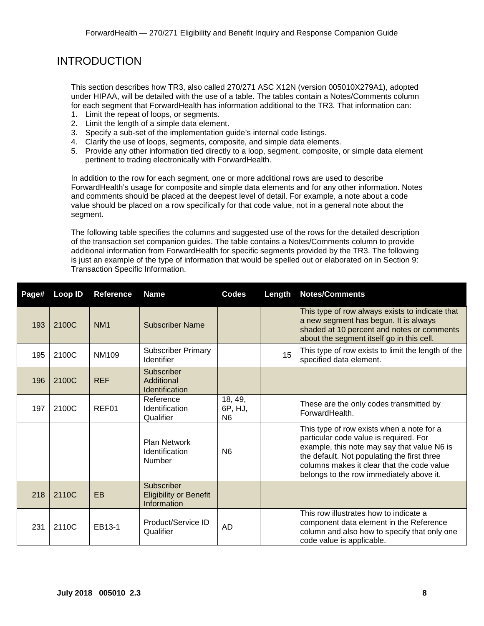## INTRODUCTION

This section describes how TR3, also called 270/271 ASC X12N (version 005010X279A1), adopted under HIPAA, will be detailed with the use of a table. The tables contain a Notes/Comments column for each segment that ForwardHealth has information additional to the TR3. That information can:

- 1. Limit the repeat of loops, or segments.
- 2. Limit the length of a simple data element.
- 3. Specify a sub-set of the implementation guide's internal code listings.
- 4. Clarify the use of loops, segments, composite, and simple data elements.
- 5. Provide any other information tied directly to a loop, segment, composite, or simple data element pertinent to trading electronically with ForwardHealth.

In addition to the row for each segment, one or more additional rows are used to describe ForwardHealth's usage for composite and simple data elements and for any other information. Notes and comments should be placed at the deepest level of detail. For example, a note about a code value should be placed on a row specifically for that code value, not in a general note about the segment.

The following table specifies the columns and suggested use of the rows for the detailed description of the transaction set companion guides. The table contains a Notes/Comments column to provide additional information from ForwardHealth for specific segments provided by the TR3. The following is just an example of the type of information that would be spelled out or elaborated on in Section 9: Transaction Specific Information.

| Page# | <b>Loop ID</b> | <b>Reference</b> | <b>Name</b>                                                | <b>Codes</b>                         | Length | <b>Notes/Comments</b>                                                                                                                                                                                                                                                       |
|-------|----------------|------------------|------------------------------------------------------------|--------------------------------------|--------|-----------------------------------------------------------------------------------------------------------------------------------------------------------------------------------------------------------------------------------------------------------------------------|
| 193   | 2100C          | NM <sub>1</sub>  | <b>Subscriber Name</b>                                     |                                      |        | This type of row always exists to indicate that<br>a new segment has begun. It is always<br>shaded at 10 percent and notes or comments<br>about the segment itself go in this cell.                                                                                         |
| 195   | 2100C          | <b>NM109</b>     | <b>Subscriber Primary</b><br>Identifier                    |                                      | 15     | This type of row exists to limit the length of the<br>specified data element.                                                                                                                                                                                               |
| 196   | 2100C          | <b>REF</b>       | Subscriber<br>Additional<br>Identification                 |                                      |        |                                                                                                                                                                                                                                                                             |
| 197   | 2100C          | REF01            | Reference<br><b>Identification</b><br>Qualifier            | 18, 49,<br>6P, HJ,<br>N <sub>6</sub> |        | These are the only codes transmitted by<br>ForwardHealth.                                                                                                                                                                                                                   |
|       |                |                  | <b>Plan Network</b><br>Identification<br><b>Number</b>     | N <sub>6</sub>                       |        | This type of row exists when a note for a<br>particular code value is required. For<br>example, this note may say that value N6 is<br>the default. Not populating the first three<br>columns makes it clear that the code value<br>belongs to the row immediately above it. |
| 218   | 2110C          | EB               | Subscriber<br><b>Eligibility or Benefit</b><br>Information |                                      |        |                                                                                                                                                                                                                                                                             |
| 231   | 2110C          | EB13-1           | Product/Service ID<br>Qualifier                            | <b>AD</b>                            |        | This row illustrates how to indicate a<br>component data element in the Reference<br>column and also how to specify that only one<br>code value is applicable.                                                                                                              |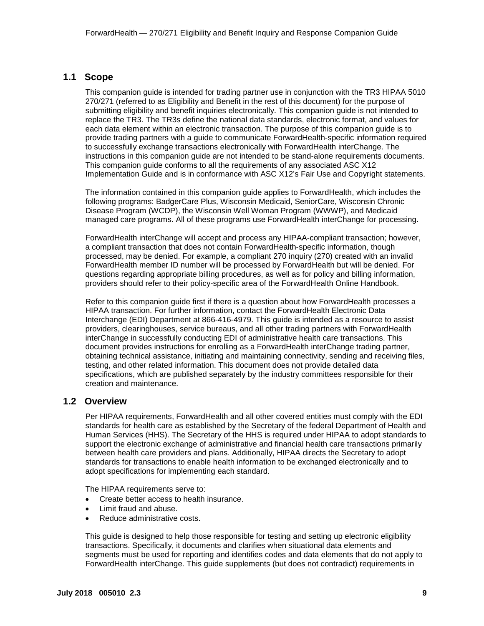## <span id="page-8-0"></span>**1.1 Scope**

This companion guide is intended for trading partner use in conjunction with the TR3 HIPAA 5010 270/271 (referred to as Eligibility and Benefit in the rest of this document) for the purpose of submitting eligibility and benefit inquiries electronically. This companion guide is not intended to replace the TR3. The TR3s define the national data standards, electronic format, and values for each data element within an electronic transaction. The purpose of this companion guide is to provide trading partners with a guide to communicate ForwardHealth-specific information required to successfully exchange transactions electronically with ForwardHealth interChange. The instructions in this companion guide are not intended to be stand-alone requirements documents. This companion guide conforms to all the requirements of any associated ASC X12 Implementation Guide and is in conformance with ASC X12's Fair Use and Copyright statements.

The information contained in this companion guide applies to ForwardHealth, which includes the following programs: BadgerCare Plus, Wisconsin Medicaid, SeniorCare, Wisconsin Chronic Disease Program (WCDP), the Wisconsin Well Woman Program (WWWP), and Medicaid managed care programs. All of these programs use ForwardHealth interChange for processing.

ForwardHealth interChange will accept and process any HIPAA-compliant transaction; however, a compliant transaction that does not contain ForwardHealth-specific information, though processed, may be denied. For example, a compliant 270 inquiry (270) created with an invalid ForwardHealth member ID number will be processed by ForwardHealth but will be denied. For questions regarding appropriate billing procedures, as well as for policy and billing information, providers should refer to their policy-specific area of the ForwardHealth Online Handbook.

Refer to this companion guide first if there is a question about how ForwardHealth processes a HIPAA transaction. For further information, contact the ForwardHealth Electronic Data Interchange (EDI) Department at 866-416-4979. This guide is intended as a resource to assist providers, clearinghouses, service bureaus, and all other trading partners with ForwardHealth interChange in successfully conducting EDI of administrative health care transactions. This document provides instructions for enrolling as a ForwardHealth interChange trading partner, obtaining technical assistance, initiating and maintaining connectivity, sending and receiving files, testing, and other related information. This document does not provide detailed data specifications, which are published separately by the industry committees responsible for their creation and maintenance.

### <span id="page-8-1"></span>**1.2 Overview**

Per HIPAA requirements, ForwardHealth and all other covered entities must comply with the EDI standards for health care as established by the Secretary of the federal Department of Health and Human Services (HHS). The Secretary of the HHS is required under HIPAA to adopt standards to support the electronic exchange of administrative and financial health care transactions primarily between health care providers and plans. Additionally, HIPAA directs the Secretary to adopt standards for transactions to enable health information to be exchanged electronically and to adopt specifications for implementing each standard.

The HIPAA requirements serve to:

- Create better access to health insurance.
- Limit fraud and abuse.
- Reduce administrative costs.

This guide is designed to help those responsible for testing and setting up electronic eligibility transactions. Specifically, it documents and clarifies when situational data elements and segments must be used for reporting and identifies codes and data elements that do not apply to ForwardHealth interChange. This guide supplements (but does not contradict) requirements in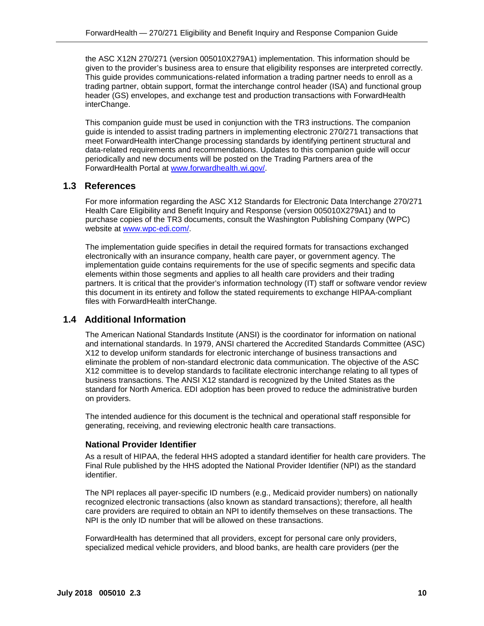the ASC X12N 270/271 (version 005010X279A1) implementation. This information should be given to the provider's business area to ensure that eligibility responses are interpreted correctly. This guide provides communications-related information a trading partner needs to enroll as a trading partner, obtain support, format the interchange control header (ISA) and functional group header (GS) envelopes, and exchange test and production transactions with ForwardHealth interChange.

This companion guide must be used in conjunction with the TR3 instructions. The companion guide is intended to assist trading partners in implementing electronic 270/271 transactions that meet ForwardHealth interChange processing standards by identifying pertinent structural and data-related requirements and recommendations. Updates to this companion guide will occur periodically and new documents will be posted on the Trading Partners area of the ForwardHealth Portal at [www.forwardhealth.wi.gov/.](http://www.forwardhealth.wi.gov/)

## <span id="page-9-0"></span>**1.3 References**

For more information regarding the ASC X12 Standards for Electronic Data Interchange 270/271 Health Care Eligibility and Benefit Inquiry and Response (version 005010X279A1) and to purchase copies of the TR3 documents, consult the Washington Publishing Company (WPC) website at [www.wpc-edi.com/.](file://usmds002.prod.healthcare.wi.local/Control/Provider%20Relations/PUBS/Copy%20Editing/work%20to%20do/www.wpc-edi.com/)

The implementation guide specifies in detail the required formats for transactions exchanged electronically with an insurance company, health care payer, or government agency. The implementation guide contains requirements for the use of specific segments and specific data elements within those segments and applies to all health care providers and their trading partners. It is critical that the provider's information technology (IT) staff or software vendor review this document in its entirety and follow the stated requirements to exchange HIPAA-compliant files with ForwardHealth interChange.

## <span id="page-9-1"></span>**1.4 Additional Information**

The American National Standards Institute (ANSI) is the coordinator for information on national and international standards. In 1979, ANSI chartered the Accredited Standards Committee (ASC) X12 to develop uniform standards for electronic interchange of business transactions and eliminate the problem of non-standard electronic data communication. The objective of the ASC X12 committee is to develop standards to facilitate electronic interchange relating to all types of business transactions. The ANSI X12 standard is recognized by the United States as the standard for North America. EDI adoption has been proved to reduce the administrative burden on providers.

The intended audience for this document is the technical and operational staff responsible for generating, receiving, and reviewing electronic health care transactions.

#### <span id="page-9-2"></span>**National Provider Identifier**

As a result of HIPAA, the federal HHS adopted a standard identifier for health care providers. The Final Rule published by the HHS adopted the National Provider Identifier (NPI) as the standard identifier.

The NPI replaces all payer-specific ID numbers (e.g., Medicaid provider numbers) on nationally recognized electronic transactions (also known as standard transactions); therefore, all health care providers are required to obtain an NPI to identify themselves on these transactions. The NPI is the only ID number that will be allowed on these transactions.

ForwardHealth has determined that all providers, except for personal care only providers, specialized medical vehicle providers, and blood banks, are health care providers (per the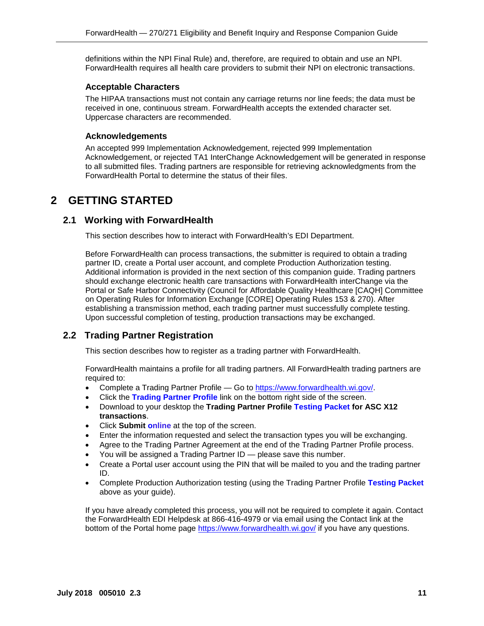definitions within the NPI Final Rule) and, therefore, are required to obtain and use an NPI. ForwardHealth requires all health care providers to submit their NPI on electronic transactions.

#### <span id="page-10-0"></span>**Acceptable Characters**

The HIPAA transactions must not contain any carriage returns nor line feeds; the data must be received in one, continuous stream. ForwardHealth accepts the extended character set. Uppercase characters are recommended.

#### <span id="page-10-1"></span>**Acknowledgements**

An accepted 999 Implementation Acknowledgement, rejected 999 Implementation Acknowledgement, or rejected TA1 InterChange Acknowledgement will be generated in response to all submitted files. Trading partners are responsible for retrieving acknowledgments from the ForwardHealth Portal to determine the status of their files.

## <span id="page-10-2"></span>**2 GETTING STARTED**

### <span id="page-10-3"></span>**2.1 Working with ForwardHealth**

This section describes how to interact with ForwardHealth's EDI Department.

Before ForwardHealth can process transactions, the submitter is required to obtain a trading partner ID, create a Portal user account, and complete Production Authorization testing. Additional information is provided in the next section of this companion guide. Trading partners should exchange electronic health care transactions with ForwardHealth interChange via the Portal or Safe Harbor Connectivity (Council for Affordable Quality Healthcare [CAQH] Committee on Operating Rules for Information Exchange [CORE] Operating Rules 153 & 270). After establishing a transmission method, each trading partner must successfully complete testing. Upon successful completion of testing, production transactions may be exchanged.

## <span id="page-10-4"></span>**2.2 Trading Partner Registration**

This section describes how to register as a trading partner with ForwardHealth.

ForwardHealth maintains a profile for all trading partners. All ForwardHealth trading partners are required to:

- Complete a Trading Partner Profile Go to [https://www.forwardhealth.wi.gov/.](https://www.forwardhealth.wi.gov/)
- Click the **Trading Partner Profile** link on the bottom right side of the screen.
- Download to your desktop the **Trading Partner Profile Testing Packet for ASC X12 transactions**.
- Click **Submit online** at the top of the screen.
- Enter the information requested and select the transaction types you will be exchanging.
- Agree to the Trading Partner Agreement at the end of the Trading Partner Profile process.
- You will be assigned a Trading Partner ID please save this number.
- Create a Portal user account using the PIN that will be mailed to you and the trading partner ID.
- Complete Production Authorization testing (using the Trading Partner Profile **Testing Packet** above as your guide).

If you have already completed this process, you will not be required to complete it again. Contact the ForwardHealth EDI Helpdesk at 866-416-4979 or via email using the Contact link at the bottom of the Portal home page <https://www.forwardhealth.wi.gov/> if you have any questions.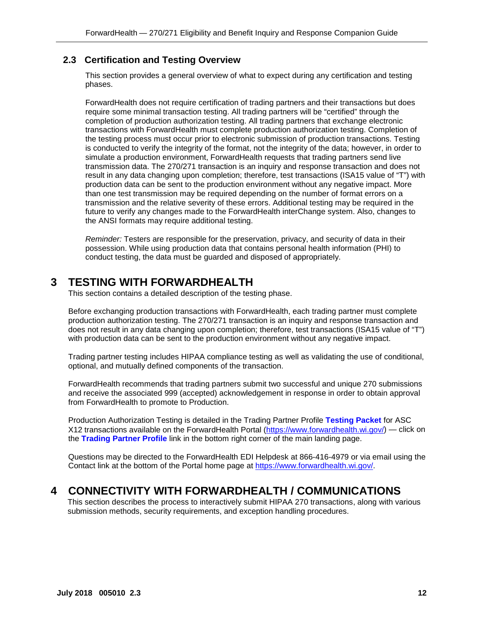## <span id="page-11-0"></span>**2.3 Certification and Testing Overview**

This section provides a general overview of what to expect during any certification and testing phases.

ForwardHealth does not require certification of trading partners and their transactions but does require some minimal transaction testing. All trading partners will be "certified" through the completion of production authorization testing. All trading partners that exchange electronic transactions with ForwardHealth must complete production authorization testing. Completion of the testing process must occur prior to electronic submission of production transactions. Testing is conducted to verify the integrity of the format, not the integrity of the data; however, in order to simulate a production environment, ForwardHealth requests that trading partners send live transmission data. The 270/271 transaction is an inquiry and response transaction and does not result in any data changing upon completion; therefore, test transactions (ISA15 value of "T") with production data can be sent to the production environment without any negative impact. More than one test transmission may be required depending on the number of format errors on a transmission and the relative severity of these errors. Additional testing may be required in the future to verify any changes made to the ForwardHealth interChange system. Also, changes to the ANSI formats may require additional testing.

*Reminder:* Testers are responsible for the preservation, privacy, and security of data in their possession. While using production data that contains personal health information (PHI) to conduct testing, the data must be guarded and disposed of appropriately.

## <span id="page-11-1"></span>**3 TESTING WITH FORWARDHEALTH**

This section contains a detailed description of the testing phase.

Before exchanging production transactions with ForwardHealth, each trading partner must complete production authorization testing. The 270/271 transaction is an inquiry and response transaction and does not result in any data changing upon completion; therefore, test transactions (ISA15 value of "T") with production data can be sent to the production environment without any negative impact.

Trading partner testing includes HIPAA compliance testing as well as validating the use of conditional, optional, and mutually defined components of the transaction.

ForwardHealth recommends that trading partners submit two successful and unique 270 submissions and receive the associated 999 (accepted) acknowledgement in response in order to obtain approval from ForwardHealth to promote to Production.

Production Authorization Testing is detailed in the Trading Partner Profile **Testing Packet** for ASC X12 transactions available on the ForwardHealth Portal [\(https://www.forwardhealth.wi.gov/\)](https://www.forwardhealth.wi.gov/) — click on the **Trading Partner Profile** link in the bottom right corner of the main landing page.

Questions may be directed to the ForwardHealth EDI Helpdesk at 866-416-4979 or via email using the Contact link at the bottom of the Portal home page at [https://www.forwardhealth.wi.gov/.](https://www.forwardhealth.wi.gov/)

## <span id="page-11-2"></span>**4 CONNECTIVITY WITH FORWARDHEALTH / COMMUNICATIONS**

This section describes the process to interactively submit HIPAA 270 transactions, along with various submission methods, security requirements, and exception handling procedures.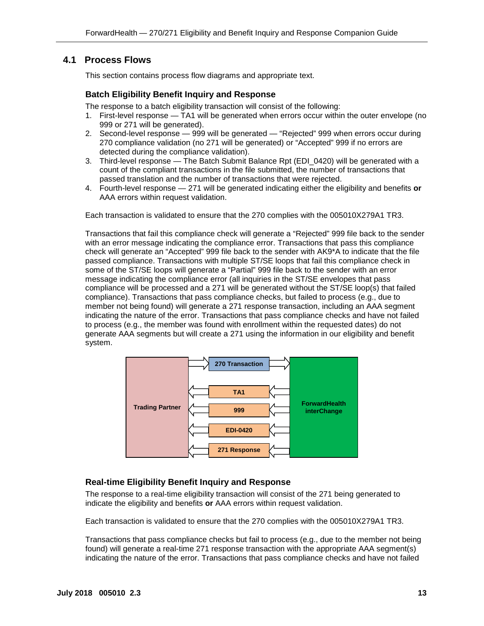## <span id="page-12-1"></span><span id="page-12-0"></span>**4.1 Process Flows**

This section contains process flow diagrams and appropriate text.

#### **Batch Eligibility Benefit Inquiry and Response**

The response to a batch eligibility transaction will consist of the following:

- 1. First-level response TA1 will be generated when errors occur within the outer envelope (no 999 or 271 will be generated).
- 2. Second-level response 999 will be generated "Rejected" 999 when errors occur during 270 compliance validation (no 271 will be generated) or "Accepted" 999 if no errors are detected during the compliance validation).
- 3. Third-level response The Batch Submit Balance Rpt (EDI\_0420) will be generated with a count of the compliant transactions in the file submitted, the number of transactions that passed translation and the number of transactions that were rejected.
- 4. Fourth-level response 271 will be generated indicating either the eligibility and benefits **or** AAA errors within request validation.

Each transaction is validated to ensure that the 270 complies with the 005010X279A1 TR3.

Transactions that fail this compliance check will generate a "Rejected" 999 file back to the sender with an error message indicating the compliance error. Transactions that pass this compliance check will generate an "Accepted" 999 file back to the sender with AK9\*A to indicate that the file passed compliance. Transactions with multiple ST/SE loops that fail this compliance check in some of the ST/SE loops will generate a "Partial" 999 file back to the sender with an error message indicating the compliance error (all inquiries in the ST/SE envelopes that pass compliance will be processed and a 271 will be generated without the ST/SE loop(s) that failed compliance). Transactions that pass compliance checks, but failed to process (e.g., due to member not being found) will generate a 271 response transaction, including an AAA segment indicating the nature of the error. Transactions that pass compliance checks and have not failed to process (e.g., the member was found with enrollment within the requested dates) do not generate AAA segments but will create a 271 using the information in our eligibility and benefit system.



#### <span id="page-12-2"></span>**Real-time Eligibility Benefit Inquiry and Response**

The response to a real-time eligibility transaction will consist of the 271 being generated to indicate the eligibility and benefits **or** AAA errors within request validation.

Each transaction is validated to ensure that the 270 complies with the 005010X279A1 TR3.

Transactions that pass compliance checks but fail to process (e.g., due to the member not being found) will generate a real-time 271 response transaction with the appropriate AAA segment(s) indicating the nature of the error. Transactions that pass compliance checks and have not failed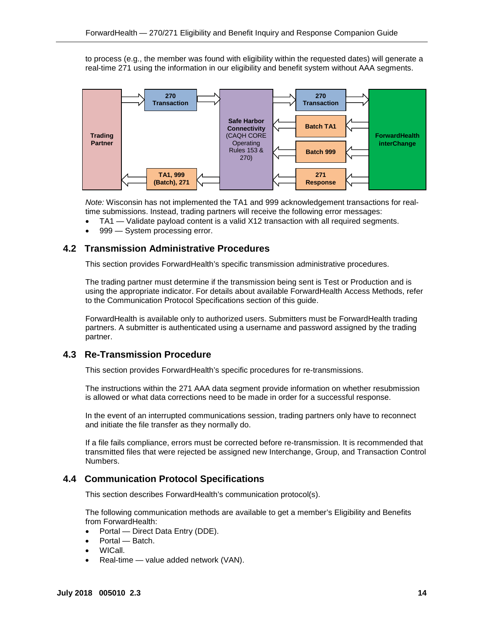to process (e.g., the member was found with eligibility within the requested dates) will generate a real-time 271 using the information in our eligibility and benefit system without AAA segments.



*Note:* Wisconsin has not implemented the TA1 and 999 acknowledgement transactions for realtime submissions. Instead, trading partners will receive the following error messages:

- TA1 Validate payload content is a valid X12 transaction with all required segments.
- 999 System processing error.

### <span id="page-13-0"></span>**4.2 Transmission Administrative Procedures**

This section provides ForwardHealth's specific transmission administrative procedures.

The trading partner must determine if the transmission being sent is Test or Production and is using the appropriate indicator. For details about available ForwardHealth Access Methods, refer to the Communication Protocol Specifications section of this guide.

ForwardHealth is available only to authorized users. Submitters must be ForwardHealth trading partners. A submitter is authenticated using a username and password assigned by the trading partner.

## <span id="page-13-1"></span>**4.3 Re-Transmission Procedure**

This section provides ForwardHealth's specific procedures for re-transmissions.

The instructions within the 271 AAA data segment provide information on whether resubmission is allowed or what data corrections need to be made in order for a successful response.

In the event of an interrupted communications session, trading partners only have to reconnect and initiate the file transfer as they normally do.

If a file fails compliance, errors must be corrected before re-transmission. It is recommended that transmitted files that were rejected be assigned new Interchange, Group, and Transaction Control Numbers.

## <span id="page-13-2"></span>**4.4 Communication Protocol Specifications**

This section describes ForwardHealth's communication protocol(s).

The following communication methods are available to get a member's Eligibility and Benefits from ForwardHealth:

- Portal Direct Data Entry (DDE).
- Portal Batch.
- WICall.
- Real-time value added network (VAN).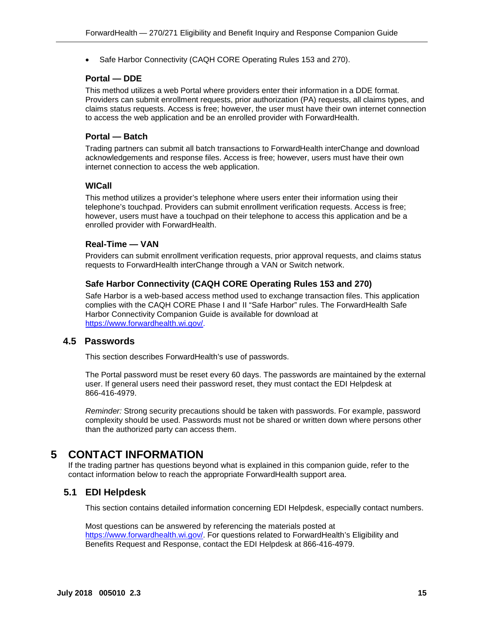<span id="page-14-0"></span>• Safe Harbor Connectivity (CAQH CORE Operating Rules 153 and 270).

### **Portal — DDE**

This method utilizes a web Portal where providers enter their information in a DDE format. Providers can submit enrollment requests, prior authorization (PA) requests, all claims types, and claims status requests. Access is free; however, the user must have their own internet connection to access the web application and be an enrolled provider with ForwardHealth.

#### <span id="page-14-1"></span>**Portal — Batch**

Trading partners can submit all batch transactions to ForwardHealth interChange and download acknowledgements and response files. Access is free; however, users must have their own internet connection to access the web application.

#### <span id="page-14-2"></span>**WICall**

This method utilizes a provider's telephone where users enter their information using their telephone's touchpad. Providers can submit enrollment verification requests. Access is free; however, users must have a touchpad on their telephone to access this application and be a enrolled provider with ForwardHealth.

#### <span id="page-14-3"></span>**Real-Time — VAN**

Providers can submit enrollment verification requests, prior approval requests, and claims status requests to ForwardHealth interChange through a VAN or Switch network.

#### <span id="page-14-4"></span>**Safe Harbor Connectivity (CAQH CORE Operating Rules 153 and 270)**

Safe Harbor is a web-based access method used to exchange transaction files. This application complies with the CAQH CORE Phase I and II "Safe Harbor" rules. The ForwardHealth Safe Harbor Connectivity Companion Guide is available for download at [https://www.forwardhealth.wi.gov/.](https://www.forwardhealth.wi.gov/)

### <span id="page-14-5"></span>**4.5 Passwords**

This section describes ForwardHealth's use of passwords.

The Portal password must be reset every 60 days. The passwords are maintained by the external user. If general users need their password reset, they must contact the EDI Helpdesk at 866-416-4979.

*Reminder:* Strong security precautions should be taken with passwords. For example, password complexity should be used. Passwords must not be shared or written down where persons other than the authorized party can access them.

## <span id="page-14-6"></span>**5 CONTACT INFORMATION**

If the trading partner has questions beyond what is explained in this companion guide, refer to the contact information below to reach the appropriate ForwardHealth support area.

#### <span id="page-14-7"></span>**5.1 EDI Helpdesk**

This section contains detailed information concerning EDI Helpdesk, especially contact numbers.

Most questions can be answered by referencing the materials posted at https://www.forwardhealth.wi.gov/. For questions related to ForwardHealth's Eligibility and Benefits Request and Response, contact the EDI Helpdesk at 866-416-4979.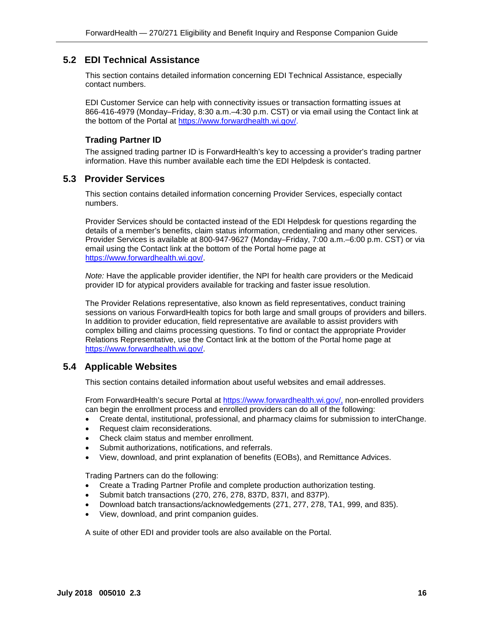## <span id="page-15-0"></span>**5.2 EDI Technical Assistance**

This section contains detailed information concerning EDI Technical Assistance, especially contact numbers.

EDI Customer Service can help with connectivity issues or transaction formatting issues at 866-416-4979 (Monday–Friday, 8:30 a.m.–4:30 p.m. CST) or via email using the Contact link at the bottom of the Portal at [https://www.forwardhealth.wi.gov/.](https://www.forwardhealth.wi.gov/)

### <span id="page-15-1"></span>**Trading Partner ID**

The assigned trading partner ID is ForwardHealth's key to accessing a provider's trading partner information. Have this number available each time the EDI Helpdesk is contacted.

### <span id="page-15-2"></span>**5.3 Provider Services**

This section contains detailed information concerning Provider Services, especially contact numbers.

Provider Services should be contacted instead of the EDI Helpdesk for questions regarding the details of a member's benefits, claim status information, credentialing and many other services. Provider Services is available at 800-947-9627 (Monday–Friday, 7:00 a.m.–6:00 p.m. CST) or via email using the Contact link at the bottom of the Portal home page at [https://www.forwardhealth.wi.gov/.](https://www.forwardhealth.wi.gov/)

*Note:* Have the applicable provider identifier, the NPI for health care providers or the Medicaid provider ID for atypical providers available for tracking and faster issue resolution.

The Provider Relations representative, also known as field representatives, conduct training sessions on various ForwardHealth topics for both large and small groups of providers and billers. In addition to provider education, field representative are available to assist providers with complex billing and claims processing questions. To find or contact the appropriate Provider Relations Representative, use the Contact link at the bottom of the Portal home page at [https://www.forwardhealth.wi.gov/.](https://www.forwardhealth.wi.gov/)

## <span id="page-15-3"></span>**5.4 Applicable Websites**

This section contains detailed information about useful websites and email addresses.

From ForwardHealth's secure Portal at [https://www.forwardhealth.wi.gov/,](https://www.forwardhealth.wi.gov/) non-enrolled providers can begin the enrollment process and enrolled providers can do all of the following:

- Create dental, institutional, professional, and pharmacy claims for submission to interChange.
- Request claim reconsiderations.
- Check claim status and member enrollment.
- Submit authorizations, notifications, and referrals.
- View, download, and print explanation of benefits (EOBs), and Remittance Advices.

Trading Partners can do the following:

- Create a Trading Partner Profile and complete production authorization testing.
- Submit batch transactions (270, 276, 278, 837D, 837I, and 837P).
- Download batch transactions/acknowledgements (271, 277, 278, TA1, 999, and 835).
- View, download, and print companion guides.

A suite of other EDI and provider tools are also available on the Portal.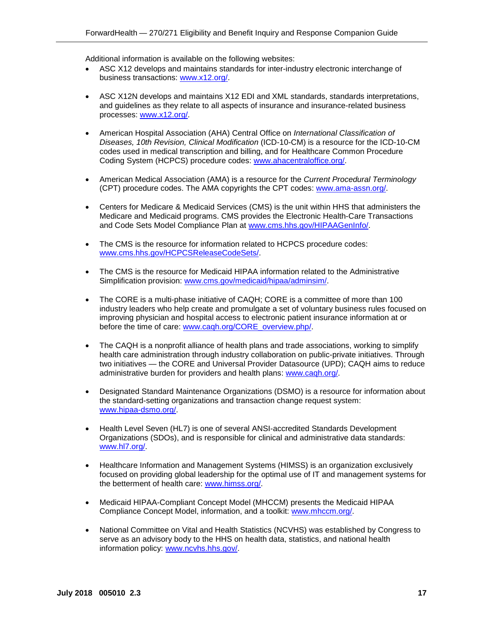Additional information is available on the following websites:

- ASC X12 develops and maintains standards for inter-industry electronic interchange of business transactions: [www.x12.org/.](http://www.x12.org/)
- ASC X12N develops and maintains X12 EDI and XML standards, standards interpretations, and guidelines as they relate to all aspects of insurance and insurance-related business processes: [www.x12.org/](http://www.x12.org/).
- American Hospital Association (AHA) Central Office on *International Classification of Diseases, 10th Revision, Clinical Modification* (ICD-10-CM) is a resource for the ICD-10-CM codes used in medical transcription and billing, and for Healthcare Common Procedure Coding System (HCPCS) procedure codes: [www.ahacentraloffice.org/](http://www.ahacentraloffice.org/).
- American Medical Association (AMA) is a resource for the *Current Procedural Terminology* (CPT) procedure codes. The AMA copyrights the CPT codes: [www.ama-assn.org/](http://www.ama-assn.org/).
- Centers for Medicare & Medicaid Services (CMS) is the unit within HHS that administers the Medicare and Medicaid programs. CMS provides the Electronic Health-Care Transactions and Code Sets Model Compliance Plan at [www.cms.hhs.gov/HIPAAGenInfo/.](http://www.cms.hhs.gov/HIPAAGenInfo/)
- The CMS is the resource for information related to HCPCS procedure codes: [www.cms.hhs.gov/HCPCSReleaseCodeSets/.](http://www.cms.hhs.gov/HCPCSReleaseCodeSets/)
- The CMS is the resource for Medicaid HIPAA information related to the Administrative Simplification provision: [www.cms.gov/medicaid/hipaa/adminsim/](http://www.cms.gov/medicaid/hipaa/adminsim).
- The CORE is a multi-phase initiative of CAQH; CORE is a committee of more than 100 industry leaders who help create and promulgate a set of voluntary business rules focused on improving physician and hospital access to electronic patient insurance information at or before the time of care: [www.caqh.org/CORE\\_overview.php/](http://www.caqh.org/CORE_overview.php).
- The CAQH is a nonprofit alliance of health plans and trade associations, working to simplify health care administration through industry collaboration on public-private initiatives. Through two initiatives — the CORE and Universal Provider Datasource (UPD); CAQH aims to reduce administrative burden for providers and health plans: [www.caqh.org/](http://www.caqh.org/).
- Designated Standard Maintenance Organizations (DSMO) is a resource for information about the standard-setting organizations and transaction change request system: [www.hipaa-dsmo.org/](http://www.hipaa-dsmo.org/).
- Health Level Seven (HL7) is one of several ANSI-accredited Standards Development Organizations (SDOs), and is responsible for clinical and administrative data standards: [www.hl7.org/](http://www.hl7.org/).
- Healthcare Information and Management Systems (HIMSS) is an organization exclusively focused on providing global leadership for the optimal use of IT and management systems for the betterment of health care: [www.himss.org/](http://www.himss.org/).
- Medicaid HIPAA-Compliant Concept Model (MHCCM) presents the Medicaid HIPAA Compliance Concept Model, information, and a toolkit: [www.mhccm.org/](http://www.mhccm.org/).
- National Committee on Vital and Health Statistics (NCVHS) was established by Congress to serve as an advisory body to the HHS on health data, statistics, and national health information policy: [www.ncvhs.hhs.gov/](http://www.ncvhs.hhs.gov/).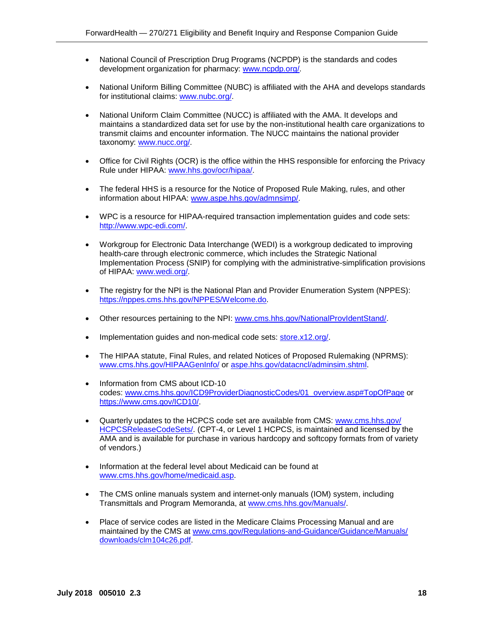- National Council of Prescription Drug Programs (NCPDP) is the standards and codes development organization for pharmacy: [www.ncpdp.org/](http://www.ncpdp.org/).
- National Uniform Billing Committee (NUBC) is affiliated with the AHA and develops standards for institutional claims: [www.nubc.org/](http://www.nubc.org/).
- National Uniform Claim Committee (NUCC) is affiliated with the AMA. It develops and maintains a standardized data set for use by the non-institutional health care organizations to transmit claims and encounter information. The NUCC maintains the national provider taxonomy: [www.nucc.org/](http://www.nucc.org/).
- Office for Civil Rights (OCR) is the office within the HHS responsible for enforcing the Privacy Rule under HIPAA: [www.hhs.gov/ocr/hipaa/](http://www.hhs.gov/ocr/hipaa).
- The federal HHS is a resource for the Notice of Proposed Rule Making, rules, and other information about HIPAA: [www.aspe.hhs.gov/admnsimp/](http://www.aspe.hhs.gov/admnsimp).
- WPC is a resource for HIPAA-required transaction implementation guides and code sets: [http://www.wpc-edi.com/.](http://www.wpc-edi.com/)
- Workgroup for Electronic Data Interchange (WEDI) is a workgroup dedicated to improving health-care through electronic commerce, which includes the Strategic National Implementation Process (SNIP) for complying with the administrative-simplification provisions of HIPAA: [www.wedi.org/](http://www.wedi.org/).
- The registry for the NPI is the National Plan and Provider Enumeration System (NPPES): [https://nppes.cms.hhs.gov/NPPES/Welcome.do.](https://nppes.cms.hhs.gov/NPPES/Welcome.do)
- Other resources pertaining to the NPI: [www.cms.hhs.gov/NationalProvIdentStand/.](http://www.cms.hhs.gov/NationalProvIdentStand/)
- Implementation guides and non-medical code sets: [store.x12.org/.](http://store.x12.org/)
- The HIPAA statute, Final Rules, and related Notices of Proposed Rulemaking (NPRMS): [www.cms.hhs.gov/HIPAAGenInfo/](http://www.cms.hhs.gov/HIPAAGenInfo/) or [aspe.hhs.gov/datacncl/adminsim.shtml.](http://aspe.hhs.gov/datacncl/adminsim.shtml)
- Information from CMS about ICD-10 codes: [www.cms.hhs.gov/ICD9ProviderDiagnosticCodes/01\\_overview.asp#TopOfPage](http://www.cms.hhs.gov/%0bICD9ProviderDiagnosticCodes/01_overview.asp#TopOfPage) or [https://www.cms.gov/ICD10/.](https://www.cms.gov/ICD10/)
- Quarterly updates to the HCPCS code set are available from CMS: [www.cms.hhs.gov/](http://www.cms.hhs.gov/HCPCSReleaseCodeSets/) [HCPCSReleaseCodeSets/.](http://www.cms.hhs.gov/HCPCSReleaseCodeSets/) (CPT-4, or Level 1 HCPCS, is maintained and licensed by the AMA and is available for purchase in various hardcopy and softcopy formats from of variety of vendors.)
- Information at the federal level about Medicaid can be found at [www.cms.hhs.gov/home/medicaid.asp.](http://www.cms.hhs.gov/home/medicaid.asp)
- The CMS online manuals system and internet-only manuals (IOM) system, including Transmittals and Program Memoranda, at [www.cms.hhs.gov/Manuals/.](http://www.cms.hhs.gov/Manuals/)
- Place of service codes are listed in the Medicare Claims Processing Manual and are maintained by the CMS at [www.cms.gov/Regulations-and-Guidance/Guidance/Manuals/](http://www.cms.gov/Regulations-and-Guidance/Guidance/Manuals/%20downloads/clm104c26.pdf)  [downloads/clm104c26.pdf.](http://www.cms.gov/Regulations-and-Guidance/Guidance/Manuals/%20downloads/clm104c26.pdf)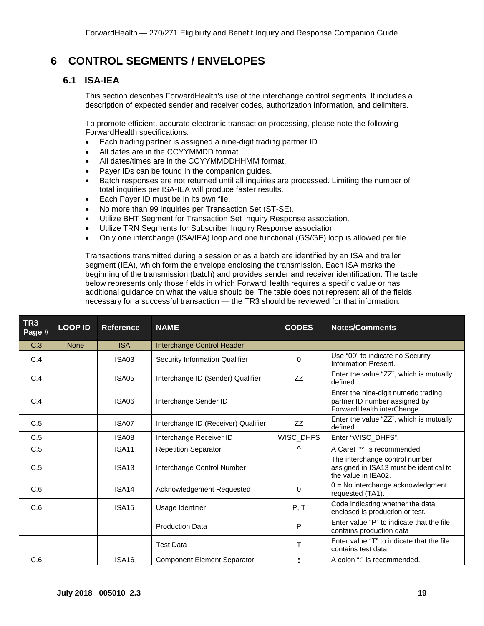## <span id="page-18-0"></span>**6 CONTROL SEGMENTS / ENVELOPES**

## <span id="page-18-1"></span>**6.1 ISA-IEA**

This section describes ForwardHealth's use of the interchange control segments. It includes a description of expected sender and receiver codes, authorization information, and delimiters.

To promote efficient, accurate electronic transaction processing, please note the following ForwardHealth specifications:

- Each trading partner is assigned a nine-digit trading partner ID.
- All dates are in the CCYYMMDD format.
- All dates/times are in the CCYYMMDDHHMM format.
- Payer IDs can be found in the companion quides.
- Batch responses are not returned until all inquiries are processed. Limiting the number of total inquiries per ISA-IEA will produce faster results.
- Each Payer ID must be in its own file.
- No more than 99 inquiries per Transaction Set (ST-SE).
- Utilize BHT Segment for Transaction Set Inquiry Response association.
- Utilize TRN Segments for Subscriber Inquiry Response association.
- Only one interchange (ISA/IEA) loop and one functional (GS/GE) loop is allowed per file.

Transactions transmitted during a session or as a batch are identified by an ISA and trailer segment (IEA), which form the envelope enclosing the transmission. Each ISA marks the beginning of the transmission (batch) and provides sender and receiver identification. The table below represents only those fields in which ForwardHealth requires a specific value or has additional guidance on what the value should be. The table does not represent all of the fields necessary for a successful transaction — the TR3 should be reviewed for that information.

| TR <sub>3</sub><br>Page # | <b>LOOP ID</b> | <b>Reference</b>  | <b>NAME</b>                         | <b>CODES</b> | <b>Notes/Comments</b>                                                                               |
|---------------------------|----------------|-------------------|-------------------------------------|--------------|-----------------------------------------------------------------------------------------------------|
| C.3                       | <b>None</b>    | <b>ISA</b>        | Interchange Control Header          |              |                                                                                                     |
| C.4                       |                | ISA03             | Security Information Qualifier      | 0            | Use "00" to indicate no Security<br>Information Present.                                            |
| C.4                       |                | <b>ISA05</b>      | Interchange ID (Sender) Qualifier   | ZZ           | Enter the value "ZZ", which is mutually<br>defined.                                                 |
| C.4                       |                | ISA06             | Interchange Sender ID               |              | Enter the nine-digit numeric trading<br>partner ID number assigned by<br>ForwardHealth interChange. |
| C.5                       |                | ISA07             | Interchange ID (Receiver) Qualifier | ZZ           | Enter the value "ZZ", which is mutually<br>defined.                                                 |
| C.5                       |                | ISA08             | Interchange Receiver ID             | WISC_DHFS    | Enter "WISC_DHFS".                                                                                  |
| C.5                       |                | ISA <sub>11</sub> | <b>Repetition Separator</b>         | $\wedge$     | A Caret "^" is recommended.                                                                         |
| C.5                       |                | <b>ISA13</b>      | Interchange Control Number          |              | The interchange control number<br>assigned in ISA13 must be identical to<br>the value in IEA02.     |
| C.6                       |                | ISA <sub>14</sub> | Acknowledgement Requested           | 0            | $0 = No$ interchange acknowledgment<br>requested (TA1).                                             |
| C.6                       |                | ISA <sub>15</sub> | Usage Identifier                    | P, T         | Code indicating whether the data<br>enclosed is production or test.                                 |
|                           |                |                   | <b>Production Data</b>              | P            | Enter value "P" to indicate that the file<br>contains production data                               |
|                           |                |                   | <b>Test Data</b>                    | T            | Enter value "T" to indicate that the file<br>contains test data.                                    |
| C.6                       |                | ISA <sub>16</sub> | <b>Component Element Separator</b>  |              | A colon ":" is recommended.                                                                         |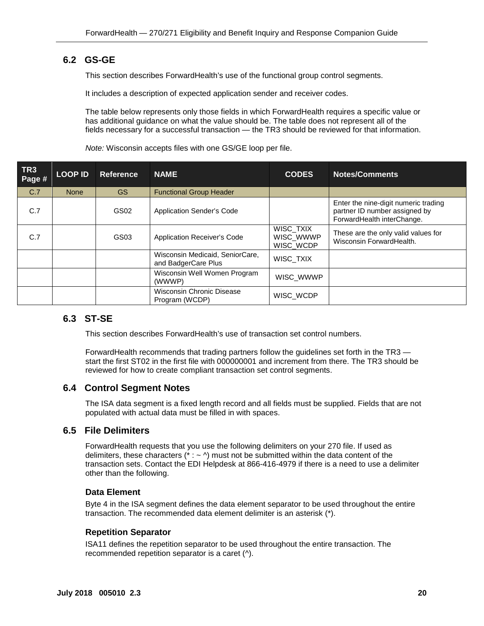## <span id="page-19-0"></span>**6.2 GS-GE**

This section describes ForwardHealth's use of the functional group control segments.

It includes a description of expected application sender and receiver codes.

The table below represents only those fields in which ForwardHealth requires a specific value or has additional guidance on what the value should be. The table does not represent all of the fields necessary for a successful transaction — the TR3 should be reviewed for that information.

*Note:* Wisconsin accepts files with one GS/GE loop per file.

| TR <sub>3</sub><br>Page # | <b>LOOP ID</b> | <b>Reference</b> | <b>NAME</b>                                            | <b>CODES</b>                        | <b>Notes/Comments</b>                                                                               |
|---------------------------|----------------|------------------|--------------------------------------------------------|-------------------------------------|-----------------------------------------------------------------------------------------------------|
| C.7                       | <b>None</b>    | <b>GS</b>        | <b>Functional Group Header</b>                         |                                     |                                                                                                     |
| C.7                       |                | GS02             | Application Sender's Code                              |                                     | Enter the nine-digit numeric trading<br>partner ID number assigned by<br>ForwardHealth interChange. |
| C.7                       |                | GS03             | Application Receiver's Code                            | WISC_TXIX<br>WISC_WWWP<br>WISC_WCDP | These are the only valid values for<br>Wisconsin ForwardHealth.                                     |
|                           |                |                  | Wisconsin Medicaid, SeniorCare,<br>and BadgerCare Plus | WISC_TXIX                           |                                                                                                     |
|                           |                |                  | Wisconsin Well Women Program<br>(WWWP)                 | WISC WWWP                           |                                                                                                     |
|                           |                |                  | Wisconsin Chronic Disease<br>Program (WCDP)            | WISC WCDP                           |                                                                                                     |

## <span id="page-19-1"></span>**6.3 ST-SE**

This section describes ForwardHealth's use of transaction set control numbers.

ForwardHealth recommends that trading partners follow the guidelines set forth in the TR3 start the first ST02 in the first file with 000000001 and increment from there. The TR3 should be reviewed for how to create compliant transaction set control segments.

## <span id="page-19-2"></span>**6.4 Control Segment Notes**

The ISA data segment is a fixed length record and all fields must be supplied. Fields that are not populated with actual data must be filled in with spaces.

#### <span id="page-19-3"></span>**6.5 File Delimiters**

ForwardHealth requests that you use the following delimiters on your 270 file. If used as delimiters, these characters ( $* : - \land$ ) must not be submitted within the data content of the transaction sets. Contact the EDI Helpdesk at 866-416-4979 if there is a need to use a delimiter other than the following.

#### <span id="page-19-4"></span>**Data Element**

Byte 4 in the ISA segment defines the data element separator to be used throughout the entire transaction. The recommended data element delimiter is an asterisk (\*).

#### <span id="page-19-5"></span>**Repetition Separator**

ISA11 defines the repetition separator to be used throughout the entire transaction. The recommended repetition separator is a caret (^).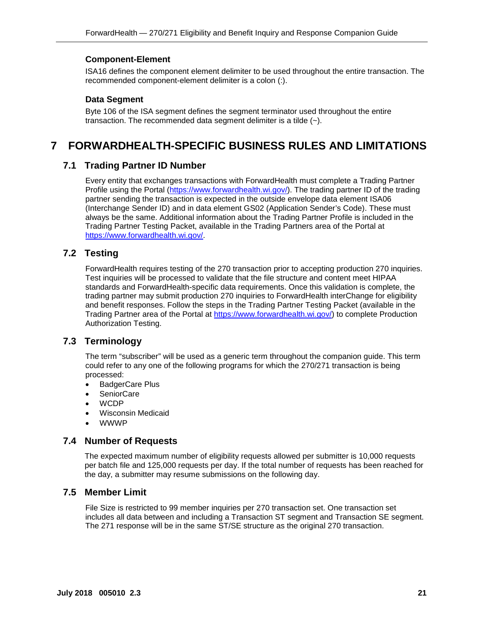#### <span id="page-20-0"></span>**Component-Element**

ISA16 defines the component element delimiter to be used throughout the entire transaction. The recommended component-element delimiter is a colon (:).

### <span id="page-20-1"></span>**Data Segment**

Byte 106 of the ISA segment defines the segment terminator used throughout the entire transaction. The recommended data segment delimiter is a tilde (~).

## <span id="page-20-2"></span>**7 FORWARDHEALTH-SPECIFIC BUSINESS RULES AND LIMITATIONS**

## <span id="page-20-3"></span>**7.1 Trading Partner ID Number**

Every entity that exchanges transactions with ForwardHealth must complete a Trading Partner Profile using the Portal [\(https://www.forwardhealth.wi.gov/\)](https://www.forwardhealth.wi.gov/). The trading partner ID of the trading partner sending the transaction is expected in the outside envelope data element ISA06 (Interchange Sender ID) and in data element GS02 (Application Sender's Code). These must always be the same. Additional information about the Trading Partner Profile is included in the Trading Partner Testing Packet, available in the Trading Partners area of the Portal at [https://www.forwardhealth.wi.gov/.](https://www.forwardhealth.wi.gov/)

## <span id="page-20-4"></span>**7.2 Testing**

ForwardHealth requires testing of the 270 transaction prior to accepting production 270 inquiries. Test inquiries will be processed to validate that the file structure and content meet HIPAA standards and ForwardHealth-specific data requirements. Once this validation is complete, the trading partner may submit production 270 inquiries to ForwardHealth interChange for eligibility and benefit responses. Follow the steps in the Trading Partner Testing Packet (available in the Trading Partner area of the Portal at [https://www.forwardhealth.wi.gov/\)](https://www.forwardhealth.wi.gov/) to complete Production Authorization Testing.

## <span id="page-20-5"></span>**7.3 Terminology**

The term "subscriber" will be used as a generic term throughout the companion guide. This term could refer to any one of the following programs for which the 270/271 transaction is being processed:

- BadgerCare Plus
- SeniorCare
- WCDP
- Wisconsin Medicaid
- WWWP

### <span id="page-20-6"></span>**7.4 Number of Requests**

The expected maximum number of eligibility requests allowed per submitter is 10,000 requests per batch file and 125,000 requests per day. If the total number of requests has been reached for the day, a submitter may resume submissions on the following day.

#### <span id="page-20-7"></span>**7.5 Member Limit**

File Size is restricted to 99 member inquiries per 270 transaction set. One transaction set includes all data between and including a Transaction ST segment and Transaction SE segment. The 271 response will be in the same ST/SE structure as the original 270 transaction.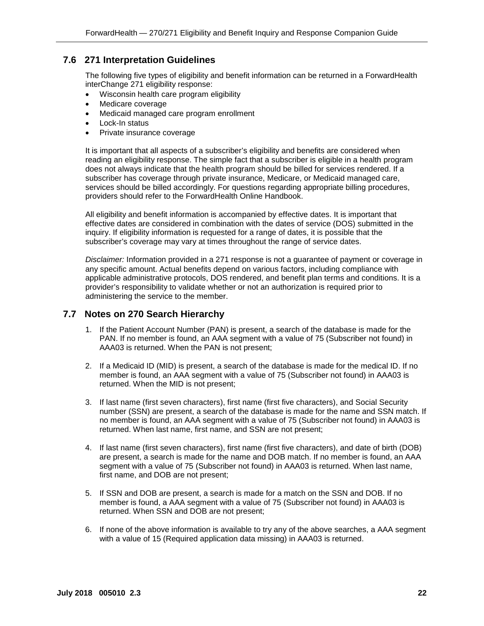## <span id="page-21-0"></span>**7.6 271 Interpretation Guidelines**

The following five types of eligibility and benefit information can be returned in a ForwardHealth interChange 271 eligibility response:

- Wisconsin health care program eligibility
- Medicare coverage
- Medicaid managed care program enrollment
- Lock-In status
- Private insurance coverage

It is important that all aspects of a subscriber's eligibility and benefits are considered when reading an eligibility response. The simple fact that a subscriber is eligible in a health program does not always indicate that the health program should be billed for services rendered. If a subscriber has coverage through private insurance, Medicare, or Medicaid managed care, services should be billed accordingly. For questions regarding appropriate billing procedures, providers should refer to the ForwardHealth Online Handbook.

All eligibility and benefit information is accompanied by effective dates. It is important that effective dates are considered in combination with the dates of service (DOS) submitted in the inquiry. If eligibility information is requested for a range of dates, it is possible that the subscriber's coverage may vary at times throughout the range of service dates.

*Disclaimer:* Information provided in a 271 response is not a guarantee of payment or coverage in any specific amount. Actual benefits depend on various factors, including compliance with applicable administrative protocols, DOS rendered, and benefit plan terms and conditions. It is a provider's responsibility to validate whether or not an authorization is required prior to administering the service to the member.

### <span id="page-21-1"></span>**7.7 Notes on 270 Search Hierarchy**

- 1. If the Patient Account Number (PAN) is present, a search of the database is made for the PAN. If no member is found, an AAA segment with a value of 75 (Subscriber not found) in AAA03 is returned. When the PAN is not present;
- 2. If a Medicaid ID (MID) is present, a search of the database is made for the medical ID. If no member is found, an AAA segment with a value of 75 (Subscriber not found) in AAA03 is returned. When the MID is not present;
- 3. If last name (first seven characters), first name (first five characters), and Social Security number (SSN) are present, a search of the database is made for the name and SSN match. If no member is found, an AAA segment with a value of 75 (Subscriber not found) in AAA03 is returned. When last name, first name, and SSN are not present;
- 4. If last name (first seven characters), first name (first five characters), and date of birth (DOB) are present, a search is made for the name and DOB match. If no member is found, an AAA segment with a value of 75 (Subscriber not found) in AAA03 is returned. When last name, first name, and DOB are not present;
- 5. If SSN and DOB are present, a search is made for a match on the SSN and DOB. If no member is found, a AAA segment with a value of 75 (Subscriber not found) in AAA03 is returned. When SSN and DOB are not present;
- 6. If none of the above information is available to try any of the above searches, a AAA segment with a value of 15 (Required application data missing) in AAA03 is returned.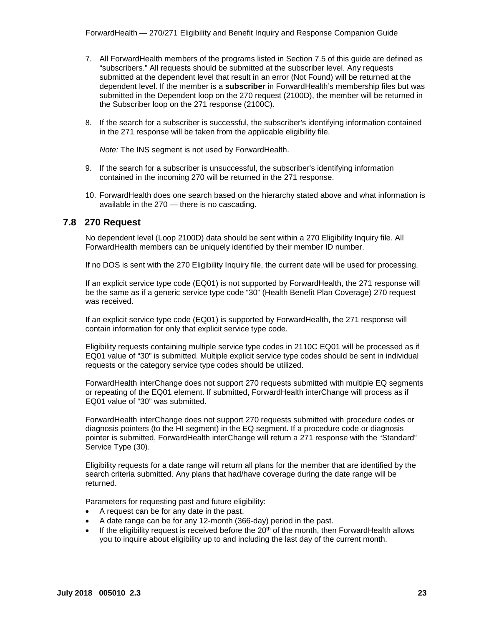- 7. All ForwardHealth members of the programs listed in Section 7.5 of this guide are defined as "subscribers." All requests should be submitted at the subscriber level. Any requests submitted at the dependent level that result in an error (Not Found) will be returned at the dependent level. If the member is a **subscriber** in ForwardHealth's membership files but was submitted in the Dependent loop on the 270 request (2100D), the member will be returned in the Subscriber loop on the 271 response (2100C).
- 8. If the search for a subscriber is successful, the subscriber's identifying information contained in the 271 response will be taken from the applicable eligibility file.

*Note:* The INS segment is not used by ForwardHealth.

- 9. If the search for a subscriber is unsuccessful, the subscriber's identifying information contained in the incoming 270 will be returned in the 271 response.
- 10. ForwardHealth does one search based on the hierarchy stated above and what information is available in the 270 — there is no cascading.

#### <span id="page-22-0"></span>**7.8 270 Request**

No dependent level (Loop 2100D) data should be sent within a 270 Eligibility Inquiry file. All ForwardHealth members can be uniquely identified by their member ID number.

If no DOS is sent with the 270 Eligibility Inquiry file, the current date will be used for processing.

If an explicit service type code (EQ01) is not supported by ForwardHealth, the 271 response will be the same as if a generic service type code "30" (Health Benefit Plan Coverage) 270 request was received.

If an explicit service type code (EQ01) is supported by ForwardHealth, the 271 response will contain information for only that explicit service type code.

Eligibility requests containing multiple service type codes in 2110C EQ01 will be processed as if EQ01 value of "30" is submitted. Multiple explicit service type codes should be sent in individual requests or the category service type codes should be utilized.

ForwardHealth interChange does not support 270 requests submitted with multiple EQ segments or repeating of the EQ01 element. If submitted, ForwardHealth interChange will process as if EQ01 value of "30" was submitted.

ForwardHealth interChange does not support 270 requests submitted with procedure codes or diagnosis pointers (to the HI segment) in the EQ segment. If a procedure code or diagnosis pointer is submitted, ForwardHealth interChange will return a 271 response with the "Standard" Service Type (30).

Eligibility requests for a date range will return all plans for the member that are identified by the search criteria submitted. Any plans that had/have coverage during the date range will be returned.

Parameters for requesting past and future eligibility:

- A request can be for any date in the past.
- A date range can be for any 12-month (366-day) period in the past.
- $\bullet$  If the eligibility request is received before the 20<sup>th</sup> of the month, then ForwardHealth allows you to inquire about eligibility up to and including the last day of the current month.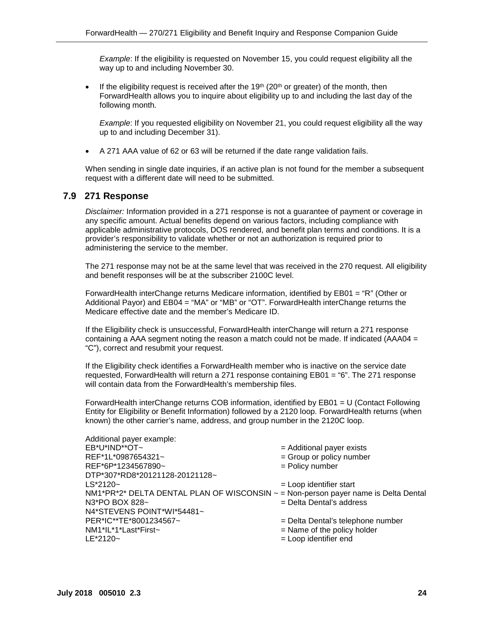*Example*: If the eligibility is requested on November 15, you could request eligibility all the way up to and including November 30.

• If the eligibility request is received after the  $19<sup>th</sup>$  (20<sup>th</sup> or greater) of the month, then ForwardHealth allows you to inquire about eligibility up to and including the last day of the following month.

*Example*: If you requested eligibility on November 21, you could request eligibility all the way up to and including December 31).

• A 271 AAA value of 62 or 63 will be returned if the date range validation fails.

When sending in single date inquiries, if an active plan is not found for the member a subsequent request with a different date will need to be submitted.

#### <span id="page-23-0"></span>**7.9 271 Response**

*Disclaimer:* Information provided in a 271 response is not a guarantee of payment or coverage in any specific amount. Actual benefits depend on various factors, including compliance with applicable administrative protocols, DOS rendered, and benefit plan terms and conditions. It is a provider's responsibility to validate whether or not an authorization is required prior to administering the service to the member.

The 271 response may not be at the same level that was received in the 270 request. All eligibility and benefit responses will be at the subscriber 2100C level.

ForwardHealth interChange returns Medicare information, identified by EB01 = "R" (Other or Additional Payor) and EB04 = "MA" or "MB" or "OT". ForwardHealth interChange returns the Medicare effective date and the member's Medicare ID.

If the Eligibility check is unsuccessful, ForwardHealth interChange will return a 271 response containing a AAA segment noting the reason a match could not be made. If indicated (AAA04 = "C"), correct and resubmit your request.

If the Eligibility check identifies a ForwardHealth member who is inactive on the service date requested, ForwardHealth will return a 271 response containing EB01 = "6". The 271 response will contain data from the ForwardHealth's membership files.

ForwardHealth interChange returns COB information, identified by EB01 = U (Contact Following Entity for Eligibility or Benefit Information) followed by a 2120 loop. ForwardHealth returns (when known) the other carrier's name, address, and group number in the 2120C loop.

| Additional payer example:                                                          |                                   |
|------------------------------------------------------------------------------------|-----------------------------------|
| EB*U*IND**OT~                                                                      | $=$ Additional payer exists       |
| REF*1L*0987654321~                                                                 | = Group or policy number          |
| REF*6P*1234567890~                                                                 | = Policy number                   |
| DTP*307*RD8*20121128-20121128~                                                     |                                   |
| LS*2120~                                                                           | $=$ Loop identifier start         |
| NM1*PR*2* DELTA DENTAL PLAN OF WISCONSIN ~ = Non-person payer name is Delta Dental |                                   |
| N3*PO BOX 828~                                                                     | = Delta Dental's address          |
| N4*STEVENS POINT*WI*54481~                                                         |                                   |
| PER*IC**TE*8001234567~                                                             | = Delta Dental's telephone number |
| NM1*IL*1*Last*First~                                                               | $=$ Name of the policy holder     |
| LE*2120~                                                                           | = Loop identifier end             |
|                                                                                    |                                   |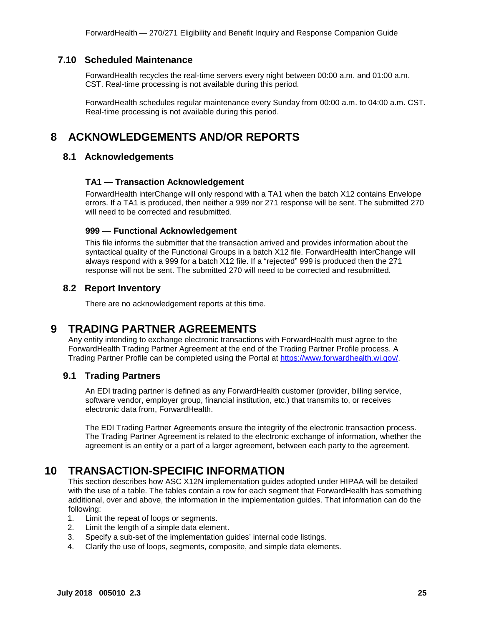## <span id="page-24-0"></span>**7.10 Scheduled Maintenance**

ForwardHealth recycles the real-time servers every night between 00:00 a.m. and 01:00 a.m. CST. Real-time processing is not available during this period.

ForwardHealth schedules regular maintenance every Sunday from 00:00 a.m. to 04:00 a.m. CST. Real-time processing is not available during this period.

## <span id="page-24-1"></span>**8 ACKNOWLEDGEMENTS AND/OR REPORTS**

### <span id="page-24-3"></span><span id="page-24-2"></span>**8.1 Acknowledgements**

#### **TA1 — Transaction Acknowledgement**

ForwardHealth interChange will only respond with a TA1 when the batch X12 contains Envelope errors. If a TA1 is produced, then neither a 999 nor 271 response will be sent. The submitted 270 will need to be corrected and resubmitted.

#### <span id="page-24-4"></span>**999 — Functional Acknowledgement**

This file informs the submitter that the transaction arrived and provides information about the syntactical quality of the Functional Groups in a batch X12 file. ForwardHealth interChange will always respond with a 999 for a batch X12 file. If a "rejected" 999 is produced then the 271 response will not be sent. The submitted 270 will need to be corrected and resubmitted.

#### <span id="page-24-5"></span>**8.2 Report Inventory**

There are no acknowledgement reports at this time.

## <span id="page-24-6"></span>**9 TRADING PARTNER AGREEMENTS**

Any entity intending to exchange electronic transactions with ForwardHealth must agree to the ForwardHealth Trading Partner Agreement at the end of the Trading Partner Profile process. A Trading Partner Profile can be completed using the Portal at [https://www.forwardhealth.wi.gov/.](https://www.forwardhealth.wi.gov/)

#### <span id="page-24-7"></span>**9.1 Trading Partners**

An EDI trading partner is defined as any ForwardHealth customer (provider, billing service, software vendor, employer group, financial institution, etc.) that transmits to, or receives electronic data from, ForwardHealth.

The EDI Trading Partner Agreements ensure the integrity of the electronic transaction process. The Trading Partner Agreement is related to the electronic exchange of information, whether the agreement is an entity or a part of a larger agreement, between each party to the agreement.

## <span id="page-24-8"></span>**10 TRANSACTION-SPECIFIC INFORMATION**

This section describes how ASC X12N implementation guides adopted under HIPAA will be detailed with the use of a table. The tables contain a row for each segment that ForwardHealth has something additional, over and above, the information in the implementation guides. That information can do the following:

- 1. Limit the repeat of loops or segments.
- 2. Limit the length of a simple data element.
- 3. Specify a sub-set of the implementation guides' internal code listings.
- 4. Clarify the use of loops, segments, composite, and simple data elements.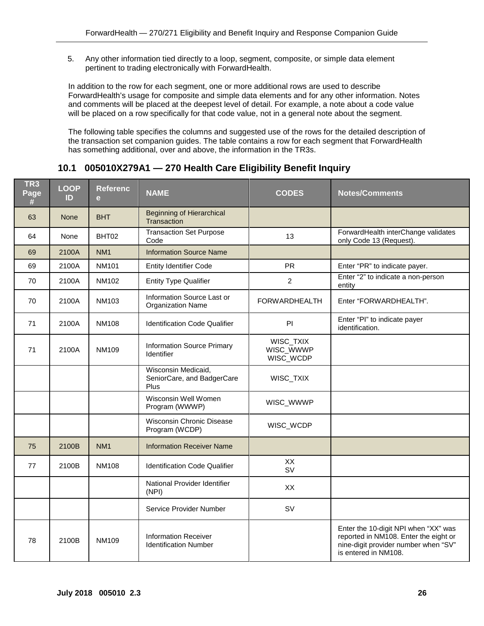5. Any other information tied directly to a loop, segment, composite, or simple data element pertinent to trading electronically with ForwardHealth.

In addition to the row for each segment, one or more additional rows are used to describe ForwardHealth's usage for composite and simple data elements and for any other information. Notes and comments will be placed at the deepest level of detail. For example, a note about a code value will be placed on a row specifically for that code value, not in a general note about the segment.

The following table specifies the columns and suggested use of the rows for the detailed description of the transaction set companion guides. The table contains a row for each segment that ForwardHealth has something additional, over and above, the information in the TR3s.

## <span id="page-25-0"></span>**10.1 005010X279A1 — 270 Health Care Eligibility Benefit Inquiry**

| TR <sub>3</sub><br>Page<br># | <b>LOOP</b><br>ID | <b>Referenc</b><br>$\mathbf{e}$ | <b>NAME</b>                                                 | <b>CODES</b>                        | <b>Notes/Comments</b>                                                                                                                         |
|------------------------------|-------------------|---------------------------------|-------------------------------------------------------------|-------------------------------------|-----------------------------------------------------------------------------------------------------------------------------------------------|
| 63                           | <b>None</b>       | <b>BHT</b>                      | <b>Beginning of Hierarchical</b><br>Transaction             |                                     |                                                                                                                                               |
| 64                           | None              | BHT02                           | <b>Transaction Set Purpose</b><br>Code                      | 13                                  | ForwardHealth interChange validates<br>only Code 13 (Request).                                                                                |
| 69                           | 2100A             | NM <sub>1</sub>                 | <b>Information Source Name</b>                              |                                     |                                                                                                                                               |
| 69                           | 2100A             | NM <sub>101</sub>               | <b>Entity Identifier Code</b>                               | <b>PR</b>                           | Enter "PR" to indicate payer.                                                                                                                 |
| 70                           | 2100A             | NM102                           | <b>Entity Type Qualifier</b>                                | $\overline{2}$                      | Enter "2" to indicate a non-person<br>entity                                                                                                  |
| 70                           | 2100A             | NM103                           | Information Source Last or<br><b>Organization Name</b>      | <b>FORWARDHEALTH</b>                | Enter "FORWARDHEALTH".                                                                                                                        |
| 71                           | 2100A             | <b>NM108</b>                    | <b>Identification Code Qualifier</b>                        | PI                                  | Enter "Pl" to indicate payer<br>identification.                                                                                               |
| 71                           | 2100A             | NM109                           | <b>Information Source Primary</b><br>Identifier             | WISC_TXIX<br>WISC_WWWP<br>WISC_WCDP |                                                                                                                                               |
|                              |                   |                                 | Wisconsin Medicaid,<br>SeniorCare, and BadgerCare<br>Plus   | WISC_TXIX                           |                                                                                                                                               |
|                              |                   |                                 | Wisconsin Well Women<br>Program (WWWP)                      | WISC_WWWP                           |                                                                                                                                               |
|                              |                   |                                 | Wisconsin Chronic Disease<br>Program (WCDP)                 | WISC_WCDP                           |                                                                                                                                               |
| 75                           | 2100B             | NM <sub>1</sub>                 | <b>Information Receiver Name</b>                            |                                     |                                                                                                                                               |
| 77                           | 2100B             | <b>NM108</b>                    | <b>Identification Code Qualifier</b>                        | XX<br><b>SV</b>                     |                                                                                                                                               |
|                              |                   |                                 | National Provider Identifier<br>(NPI)                       | XX                                  |                                                                                                                                               |
|                              |                   |                                 | Service Provider Number                                     | <b>SV</b>                           |                                                                                                                                               |
| 78                           | 2100B             | NM109                           | <b>Information Receiver</b><br><b>Identification Number</b> |                                     | Enter the 10-digit NPI when "XX" was<br>reported in NM108. Enter the eight or<br>nine-digit provider number when "SV"<br>is entered in NM108. |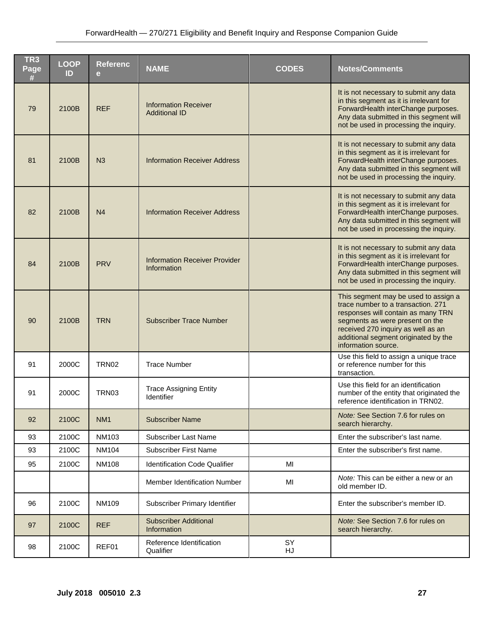| TR <sub>3</sub><br>Page<br># | <b>LOOP</b><br>ID | <b>Referenc</b><br>e | <b>NAME</b>                                         | <b>CODES</b> | <b>Notes/Comments</b>                                                                                                                                                                                                                                    |
|------------------------------|-------------------|----------------------|-----------------------------------------------------|--------------|----------------------------------------------------------------------------------------------------------------------------------------------------------------------------------------------------------------------------------------------------------|
| 79                           | 2100B             | <b>REF</b>           | <b>Information Receiver</b><br><b>Additional ID</b> |              | It is not necessary to submit any data<br>in this segment as it is irrelevant for<br>ForwardHealth interChange purposes.<br>Any data submitted in this segment will<br>not be used in processing the inquiry.                                            |
| 81                           | 2100B             | N <sub>3</sub>       | <b>Information Receiver Address</b>                 |              | It is not necessary to submit any data<br>in this segment as it is irrelevant for<br>ForwardHealth interChange purposes.<br>Any data submitted in this segment will<br>not be used in processing the inquiry.                                            |
| 82                           | 2100B             | N <sub>4</sub>       | <b>Information Receiver Address</b>                 |              | It is not necessary to submit any data<br>in this segment as it is irrelevant for<br>ForwardHealth interChange purposes.<br>Any data submitted in this segment will<br>not be used in processing the inquiry.                                            |
| 84                           | 2100B             | <b>PRV</b>           | <b>Information Receiver Provider</b><br>Information |              | It is not necessary to submit any data<br>in this segment as it is irrelevant for<br>ForwardHealth interChange purposes.<br>Any data submitted in this segment will<br>not be used in processing the inquiry.                                            |
| 90                           | 2100B             | <b>TRN</b>           | <b>Subscriber Trace Number</b>                      |              | This segment may be used to assign a<br>trace number to a transaction. 271<br>responses will contain as many TRN<br>segments as were present on the<br>received 270 inquiry as well as an<br>additional segment originated by the<br>information source. |
| 91                           | 2000C             | <b>TRN02</b>         | <b>Trace Number</b>                                 |              | Use this field to assign a unique trace<br>or reference number for this<br>transaction.                                                                                                                                                                  |
| 91                           | 2000C             | TRN03                | <b>Trace Assigning Entity</b><br>Identifier         |              | Use this field for an identification<br>number of the entity that originated the<br>reference identification in TRN02.                                                                                                                                   |
| 92                           | 2100C             | NM <sub>1</sub>      | <b>Subscriber Name</b>                              |              | Note: See Section 7.6 for rules on<br>search hierarchy.                                                                                                                                                                                                  |
| 93                           | 2100C             | NM103                | Subscriber Last Name                                |              | Enter the subscriber's last name.                                                                                                                                                                                                                        |
| 93                           | 2100C             | <b>NM104</b>         | <b>Subscriber First Name</b>                        |              | Enter the subscriber's first name.                                                                                                                                                                                                                       |
| 95                           | 2100C             | <b>NM108</b>         | <b>Identification Code Qualifier</b>                | MI           |                                                                                                                                                                                                                                                          |
|                              |                   |                      | Member Identification Number                        | MI           | Note: This can be either a new or an<br>old member ID.                                                                                                                                                                                                   |
| 96                           | 2100C             | NM109                | Subscriber Primary Identifier                       |              | Enter the subscriber's member ID.                                                                                                                                                                                                                        |
| 97                           | 2100C             | <b>REF</b>           | <b>Subscriber Additional</b><br>Information         |              | Note: See Section 7.6 for rules on<br>search hierarchy.                                                                                                                                                                                                  |
| 98                           | 2100C             | REF01                | Reference Identification<br>Qualifier               | SY<br>HJ     |                                                                                                                                                                                                                                                          |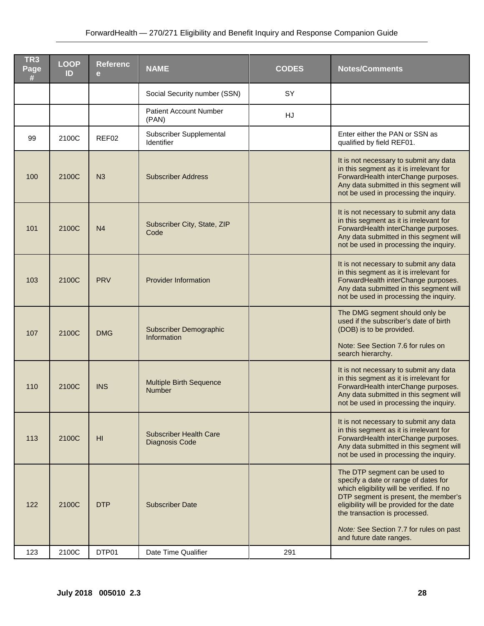| TR <sub>3</sub><br>Page<br># | <b>LOOP</b><br>ID | <b>Referenc</b><br>$\mathbf{e}$ | <b>NAME</b>                                            | <b>CODES</b> | <b>Notes/Comments</b>                                                                                                                                                                                                                                                                                           |
|------------------------------|-------------------|---------------------------------|--------------------------------------------------------|--------------|-----------------------------------------------------------------------------------------------------------------------------------------------------------------------------------------------------------------------------------------------------------------------------------------------------------------|
|                              |                   |                                 | Social Security number (SSN)                           | SY           |                                                                                                                                                                                                                                                                                                                 |
|                              |                   |                                 | <b>Patient Account Number</b><br>(PAN)                 | HJ           |                                                                                                                                                                                                                                                                                                                 |
| 99                           | 2100C             | REF <sub>02</sub>               | Subscriber Supplemental<br>Identifier                  |              | Enter either the PAN or SSN as<br>qualified by field REF01.                                                                                                                                                                                                                                                     |
| 100                          | 2100C             | N <sub>3</sub>                  | <b>Subscriber Address</b>                              |              | It is not necessary to submit any data<br>in this segment as it is irrelevant for<br>ForwardHealth interChange purposes.<br>Any data submitted in this segment will<br>not be used in processing the inquiry.                                                                                                   |
| 101                          | 2100C             | N <sub>4</sub>                  | Subscriber City, State, ZIP<br>Code                    |              | It is not necessary to submit any data<br>in this segment as it is irrelevant for<br>ForwardHealth interChange purposes.<br>Any data submitted in this segment will<br>not be used in processing the inquiry.                                                                                                   |
| 103                          | 2100C             | <b>PRV</b>                      | <b>Provider Information</b>                            |              | It is not necessary to submit any data<br>in this segment as it is irrelevant for<br>ForwardHealth interChange purposes.<br>Any data submitted in this segment will<br>not be used in processing the inquiry.                                                                                                   |
| 107                          | 2100C             | <b>DMG</b>                      | Subscriber Demographic<br>Information                  |              | The DMG segment should only be<br>used if the subscriber's date of birth<br>(DOB) is to be provided.<br>Note: See Section 7.6 for rules on<br>search hierarchy.                                                                                                                                                 |
| 110                          | 2100C             | <b>INS</b>                      | <b>Multiple Birth Sequence</b><br><b>Number</b>        |              | It is not necessary to submit any data<br>in this segment as it is irrelevant for<br>ForwardHealth interChange purposes.<br>Any data submitted in this segment will<br>not be used in processing the inquiry.                                                                                                   |
| 113                          | 2100C             | H <sub>II</sub>                 | <b>Subscriber Health Care</b><br><b>Diagnosis Code</b> |              | It is not necessary to submit any data<br>in this segment as it is irrelevant for<br>ForwardHealth interChange purposes.<br>Any data submitted in this segment will<br>not be used in processing the inquiry.                                                                                                   |
| 122                          | 2100C             | <b>DTP</b>                      | <b>Subscriber Date</b>                                 |              | The DTP segment can be used to<br>specify a date or range of dates for<br>which eligibility will be verified. If no<br>DTP segment is present, the member's<br>eligibility will be provided for the date<br>the transaction is processed.<br>Note: See Section 7.7 for rules on past<br>and future date ranges. |
| 123                          | 2100C             | DTP01                           | Date Time Qualifier                                    | 291          |                                                                                                                                                                                                                                                                                                                 |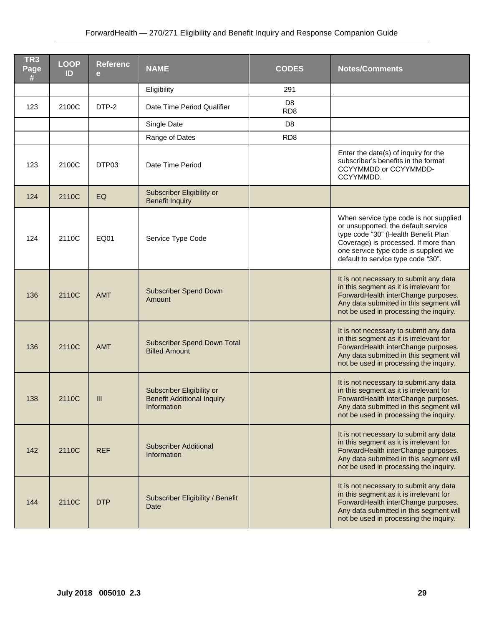| TR <sub>3</sub><br>Page<br># | <b>LOOP</b><br>ID | <b>Referenc</b><br>e | <b>NAME</b>                                                                   | <b>CODES</b>                      | <b>Notes/Comments</b>                                                                                                                                                                                                                      |
|------------------------------|-------------------|----------------------|-------------------------------------------------------------------------------|-----------------------------------|--------------------------------------------------------------------------------------------------------------------------------------------------------------------------------------------------------------------------------------------|
|                              |                   |                      | Eligibility                                                                   | 291                               |                                                                                                                                                                                                                                            |
| 123                          | 2100C             | DTP-2                | Date Time Period Qualifier                                                    | D <sub>8</sub><br>RD <sub>8</sub> |                                                                                                                                                                                                                                            |
|                              |                   |                      | Single Date                                                                   | D <sub>8</sub>                    |                                                                                                                                                                                                                                            |
|                              |                   |                      | Range of Dates                                                                | RD <sub>8</sub>                   |                                                                                                                                                                                                                                            |
| 123                          | 2100C             | DTP03                | Date Time Period                                                              |                                   | Enter the date(s) of inquiry for the<br>subscriber's benefits in the format<br>CCYYMMDD or CCYYMMDD-<br>CCYYMMDD.                                                                                                                          |
| 124                          | 2110C             | EQ                   | Subscriber Eligibility or<br><b>Benefit Inquiry</b>                           |                                   |                                                                                                                                                                                                                                            |
| 124                          | 2110C             | EQ01                 | Service Type Code                                                             |                                   | When service type code is not supplied<br>or unsupported, the default service<br>type code "30" (Health Benefit Plan<br>Coverage) is processed. If more than<br>one service type code is supplied we<br>default to service type code "30". |
| 136                          | 2110C             | <b>AMT</b>           | <b>Subscriber Spend Down</b><br>Amount                                        |                                   | It is not necessary to submit any data<br>in this segment as it is irrelevant for<br>ForwardHealth interChange purposes.<br>Any data submitted in this segment will<br>not be used in processing the inquiry.                              |
| 136                          | 2110C             | <b>AMT</b>           | <b>Subscriber Spend Down Total</b><br><b>Billed Amount</b>                    |                                   | It is not necessary to submit any data<br>in this segment as it is irrelevant for<br>ForwardHealth interChange purposes.<br>Any data submitted in this segment will<br>not be used in processing the inquiry.                              |
| 138                          | 2110C             | $\mathbf{III}$       | Subscriber Eligibility or<br><b>Benefit Additional Inquiry</b><br>Information |                                   | It is not necessary to submit any data<br>in this segment as it is irrelevant for<br>ForwardHealth interChange purposes.<br>Any data submitted in this segment will<br>not be used in processing the inquiry.                              |
| 142                          | 2110C             | <b>REF</b>           | <b>Subscriber Additional</b><br><b>Information</b>                            |                                   | It is not necessary to submit any data<br>in this segment as it is irrelevant for<br>ForwardHealth interChange purposes.<br>Any data submitted in this segment will<br>not be used in processing the inquiry.                              |
| 144                          | 2110C             | <b>DTP</b>           | Subscriber Eligibility / Benefit<br>Date                                      |                                   | It is not necessary to submit any data<br>in this segment as it is irrelevant for<br>ForwardHealth interChange purposes.<br>Any data submitted in this segment will<br>not be used in processing the inquiry.                              |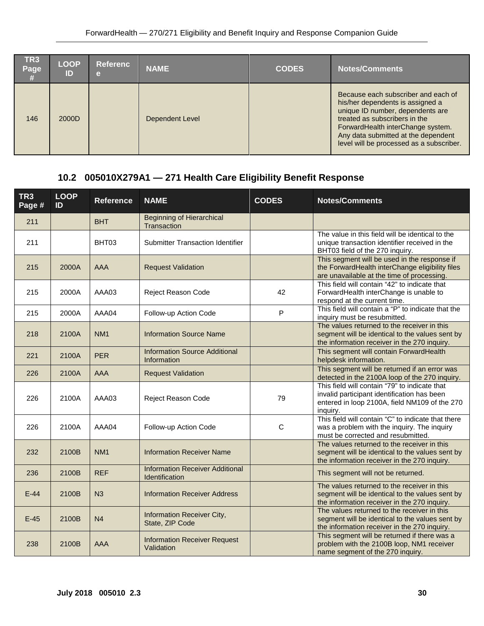| TR <sub>3</sub><br>Page | <b>LOOP</b><br>ID | <b>Referenc</b><br>e | <b>NAME</b>     | <b>CODES</b> | <b>Notes/Comments</b>                                                                                                                                                                                                                                                |
|-------------------------|-------------------|----------------------|-----------------|--------------|----------------------------------------------------------------------------------------------------------------------------------------------------------------------------------------------------------------------------------------------------------------------|
| 146                     | 2000D             |                      | Dependent Level |              | Because each subscriber and each of<br>his/her dependents is assigned a<br>unique ID number, dependents are<br>treated as subscribers in the<br>ForwardHealth interChange system.<br>Any data submitted at the dependent<br>level will be processed as a subscriber. |

# <span id="page-29-0"></span>**10.2 005010X279A1 — 271 Health Care Eligibility Benefit Response**

| TR <sub>3</sub><br>Page # | <b>LOOP</b><br>ID | <b>Reference</b> | <b>NAME</b>                                              | <b>CODES</b> | <b>Notes/Comments</b>                                                                                                                                     |
|---------------------------|-------------------|------------------|----------------------------------------------------------|--------------|-----------------------------------------------------------------------------------------------------------------------------------------------------------|
| 211                       |                   | <b>BHT</b>       | <b>Beginning of Hierarchical</b><br>Transaction          |              |                                                                                                                                                           |
| 211                       |                   | BHT03            | <b>Submitter Transaction Identifier</b>                  |              | The value in this field will be identical to the<br>unique transaction identifier received in the<br>BHT03 field of the 270 inquiry.                      |
| 215                       | 2000A             | <b>AAA</b>       | <b>Request Validation</b>                                |              | This segment will be used in the response if<br>the ForwardHealth interChange eligibility files<br>are unavailable at the time of processing.             |
| 215                       | 2000A             | AAA03            | Reject Reason Code                                       | 42           | This field will contain "42" to indicate that<br>ForwardHealth interChange is unable to<br>respond at the current time.                                   |
| 215                       | 2000A             | AAA04            | Follow-up Action Code                                    | P            | This field will contain a "P" to indicate that the<br>inquiry must be resubmitted.                                                                        |
| 218                       | 2100A             | NM <sub>1</sub>  | <b>Information Source Name</b>                           |              | The values returned to the receiver in this<br>segment will be identical to the values sent by<br>the information receiver in the 270 inquiry.            |
| 221                       | 2100A             | <b>PER</b>       | <b>Information Source Additional</b><br>Information      |              | This segment will contain ForwardHealth<br>helpdesk information.                                                                                          |
| 226                       | 2100A             | <b>AAA</b>       | <b>Request Validation</b>                                |              | This segment will be returned if an error was<br>detected in the 2100A loop of the 270 inquiry.                                                           |
| 226                       | 2100A             | AAA03            | Reject Reason Code                                       | 79           | This field will contain "79" to indicate that<br>invalid participant identification has been<br>entered in loop 2100A, field NM109 of the 270<br>inquiry. |
| 226                       | 2100A             | AAA04            | Follow-up Action Code                                    | $\mathbf C$  | This field will contain "C" to indicate that there<br>was a problem with the inquiry. The inquiry<br>must be corrected and resubmitted.                   |
| 232                       | 2100B             | NM <sub>1</sub>  | <b>Information Receiver Name</b>                         |              | The values returned to the receiver in this<br>segment will be identical to the values sent by<br>the information receiver in the 270 inquiry.            |
| 236                       | 2100B             | <b>REF</b>       | <b>Information Receiver Additional</b><br>Identification |              | This segment will not be returned.                                                                                                                        |
| $E-44$                    | 2100B             | N <sub>3</sub>   | <b>Information Receiver Address</b>                      |              | The values returned to the receiver in this<br>segment will be identical to the values sent by<br>the information receiver in the 270 inquiry.            |
| $E-45$                    | 2100B             | N <sub>4</sub>   | <b>Information Receiver City,</b><br>State, ZIP Code     |              | The values returned to the receiver in this<br>segment will be identical to the values sent by<br>the information receiver in the 270 inquiry.            |
| 238                       | 2100B             | <b>AAA</b>       | <b>Information Receiver Request</b><br>Validation        |              | This segment will be returned if there was a<br>problem with the 2100B loop, NM1 receiver<br>name segment of the 270 inquiry.                             |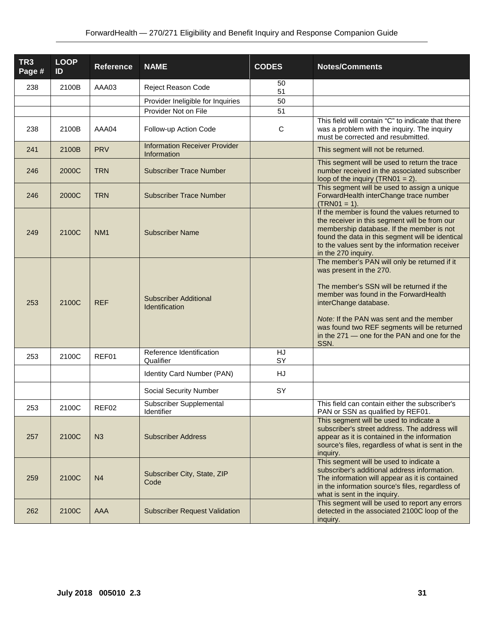| TR <sub>3</sub><br>Page # | <b>LOOP</b><br>ID | <b>Reference</b> | <b>NAME</b>                                         | <b>CODES</b> | <b>Notes/Comments</b>                                                                                                                                                                                                                                                                                                                      |
|---------------------------|-------------------|------------------|-----------------------------------------------------|--------------|--------------------------------------------------------------------------------------------------------------------------------------------------------------------------------------------------------------------------------------------------------------------------------------------------------------------------------------------|
| 238                       | 2100B             | AAA03            | Reject Reason Code                                  | 50<br>51     |                                                                                                                                                                                                                                                                                                                                            |
|                           |                   |                  | Provider Ineligible for Inquiries                   | 50           |                                                                                                                                                                                                                                                                                                                                            |
|                           |                   |                  | Provider Not on File                                | 51           |                                                                                                                                                                                                                                                                                                                                            |
| 238                       | 2100B             | AAA04            | Follow-up Action Code                               | $\mathbf C$  | This field will contain "C" to indicate that there<br>was a problem with the inquiry. The inquiry<br>must be corrected and resubmitted.                                                                                                                                                                                                    |
| 241                       | 2100B             | <b>PRV</b>       | <b>Information Receiver Provider</b><br>Information |              | This segment will not be returned.                                                                                                                                                                                                                                                                                                         |
| 246                       | 2000C             | <b>TRN</b>       | <b>Subscriber Trace Number</b>                      |              | This segment will be used to return the trace<br>number received in the associated subscriber<br>loop of the inquiry (TRN01 = 2).                                                                                                                                                                                                          |
| 246                       | 2000C             | <b>TRN</b>       | <b>Subscriber Trace Number</b>                      |              | This segment will be used to assign a unique<br>ForwardHealth interChange trace number<br>$(TRN01 = 1).$                                                                                                                                                                                                                                   |
| 249                       | 2100C             | NM <sub>1</sub>  | <b>Subscriber Name</b>                              |              | If the member is found the values returned to<br>the receiver in this segment will be from our<br>membership database. If the member is not<br>found the data in this segment will be identical<br>to the values sent by the information receiver<br>in the 270 inquiry.                                                                   |
| 253                       | 2100C             | <b>REF</b>       | <b>Subscriber Additional</b><br>Identification      |              | The member's PAN will only be returned if it<br>was present in the 270.<br>The member's SSN will be returned if the<br>member was found in the ForwardHealth<br>interChange database.<br>Note: If the PAN was sent and the member<br>was found two REF segments will be returned<br>in the $271$ – one for the PAN and one for the<br>SSN. |
| 253                       | 2100C             | REF01            | Reference Identification<br>Qualifier               | HJ<br>SY     |                                                                                                                                                                                                                                                                                                                                            |
|                           |                   |                  | Identity Card Number (PAN)                          | <b>HJ</b>    |                                                                                                                                                                                                                                                                                                                                            |
|                           |                   |                  | Social Security Number                              | SY           |                                                                                                                                                                                                                                                                                                                                            |
| 253                       | 2100C             | REF02            | Subscriber Supplemental<br>Identifier               |              | This field can contain either the subscriber's<br>PAN or SSN as qualified by REF01.                                                                                                                                                                                                                                                        |
| 257                       | 2100C             | N3               | <b>Subscriber Address</b>                           |              | This segment will be used to indicate a<br>subscriber's street address. The address will<br>appear as it is contained in the information<br>source's files, regardless of what is sent in the<br>inquiry.                                                                                                                                  |
| 259                       | 2100C             | N <sub>4</sub>   | Subscriber City, State, ZIP<br>Code                 |              | This segment will be used to indicate a<br>subscriber's additional address information.<br>The information will appear as it is contained<br>in the information source's files, regardless of<br>what is sent in the inquiry.                                                                                                              |
| 262                       | 2100C             | AAA              | <b>Subscriber Request Validation</b>                |              | This segment will be used to report any errors<br>detected in the associated 2100C loop of the<br>inquiry.                                                                                                                                                                                                                                 |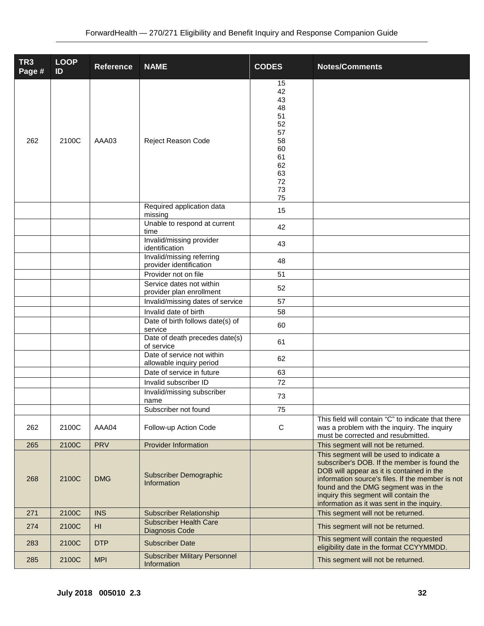| TR <sub>3</sub><br>Page # | <b>LOOP</b><br>ID | <b>Reference</b> | <b>NAME</b>                                            | <b>CODES</b>                                                                           | <b>Notes/Comments</b>                                                                                                                                                                                                                                                                                                   |
|---------------------------|-------------------|------------------|--------------------------------------------------------|----------------------------------------------------------------------------------------|-------------------------------------------------------------------------------------------------------------------------------------------------------------------------------------------------------------------------------------------------------------------------------------------------------------------------|
| 262                       | 2100C             | AAA03            | Reject Reason Code                                     | 15<br>42<br>43<br>48<br>51<br>52<br>57<br>58<br>60<br>61<br>62<br>63<br>72<br>73<br>75 |                                                                                                                                                                                                                                                                                                                         |
|                           |                   |                  | Required application data<br>missing                   | 15                                                                                     |                                                                                                                                                                                                                                                                                                                         |
|                           |                   |                  | Unable to respond at current<br>time                   | 42                                                                                     |                                                                                                                                                                                                                                                                                                                         |
|                           |                   |                  | Invalid/missing provider<br>identification             | 43                                                                                     |                                                                                                                                                                                                                                                                                                                         |
|                           |                   |                  | Invalid/missing referring<br>provider identification   | 48                                                                                     |                                                                                                                                                                                                                                                                                                                         |
|                           |                   |                  | Provider not on file                                   | 51                                                                                     |                                                                                                                                                                                                                                                                                                                         |
|                           |                   |                  | Service dates not within<br>provider plan enrollment   | 52                                                                                     |                                                                                                                                                                                                                                                                                                                         |
|                           |                   |                  | Invalid/missing dates of service                       | 57                                                                                     |                                                                                                                                                                                                                                                                                                                         |
|                           |                   |                  | Invalid date of birth                                  | 58                                                                                     |                                                                                                                                                                                                                                                                                                                         |
|                           |                   |                  | Date of birth follows date(s) of<br>service            | 60                                                                                     |                                                                                                                                                                                                                                                                                                                         |
|                           |                   |                  | Date of death precedes date(s)<br>of service           | 61                                                                                     |                                                                                                                                                                                                                                                                                                                         |
|                           |                   |                  | Date of service not within<br>allowable inquiry period | 62                                                                                     |                                                                                                                                                                                                                                                                                                                         |
|                           |                   |                  | Date of service in future                              | 63                                                                                     |                                                                                                                                                                                                                                                                                                                         |
|                           |                   |                  | Invalid subscriber ID                                  | 72                                                                                     |                                                                                                                                                                                                                                                                                                                         |
|                           |                   |                  | Invalid/missing subscriber<br>name                     | 73                                                                                     |                                                                                                                                                                                                                                                                                                                         |
|                           |                   |                  | Subscriber not found                                   | 75                                                                                     |                                                                                                                                                                                                                                                                                                                         |
| 262                       | 2100C             | AAA04            | Follow-up Action Code                                  | $\mathbf C$                                                                            | This field will contain "C" to indicate that there<br>was a problem with the inquiry. The inquiry<br>must be corrected and resubmitted.                                                                                                                                                                                 |
| 265                       | 2100C             | <b>PRV</b>       | <b>Provider Information</b>                            |                                                                                        | This segment will not be returned.                                                                                                                                                                                                                                                                                      |
| 268                       | 2100C             | <b>DMG</b>       | Subscriber Demographic<br>Information                  |                                                                                        | This segment will be used to indicate a<br>subscriber's DOB. If the member is found the<br>DOB will appear as it is contained in the<br>information source's files. If the member is not<br>found and the DMG segment was in the<br>inquiry this segment will contain the<br>information as it was sent in the inquiry. |
| 271                       | 2100C             | <b>INS</b>       | Subscriber Relationship                                |                                                                                        | This segment will not be returned.                                                                                                                                                                                                                                                                                      |
| 274                       | 2100C             | H <sub>II</sub>  | <b>Subscriber Health Care</b><br>Diagnosis Code        |                                                                                        | This segment will not be returned.                                                                                                                                                                                                                                                                                      |
| 283                       | 2100C             | <b>DTP</b>       | <b>Subscriber Date</b>                                 |                                                                                        | This segment will contain the requested<br>eligibility date in the format CCYYMMDD.                                                                                                                                                                                                                                     |
| 285                       | 2100C             | <b>MPI</b>       | <b>Subscriber Military Personnel</b><br>Information    |                                                                                        | This segment will not be returned.                                                                                                                                                                                                                                                                                      |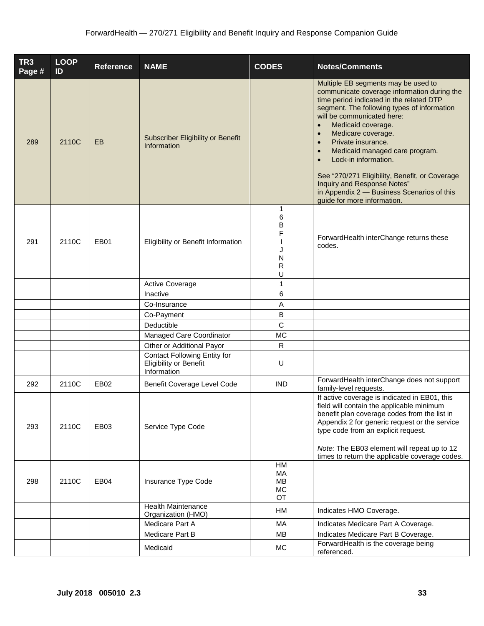| TR <sub>3</sub><br>Page # | <b>LOOP</b><br>ID | <b>Reference</b> | <b>NAME</b>                                                                  | <b>CODES</b>                    | <b>Notes/Comments</b>                                                                                                                                                                                                                                                                                                                                                                                                                                                                                                                        |
|---------------------------|-------------------|------------------|------------------------------------------------------------------------------|---------------------------------|----------------------------------------------------------------------------------------------------------------------------------------------------------------------------------------------------------------------------------------------------------------------------------------------------------------------------------------------------------------------------------------------------------------------------------------------------------------------------------------------------------------------------------------------|
| 289                       | 2110C             | EB               | Subscriber Eligibility or Benefit<br>Information                             |                                 | Multiple EB segments may be used to<br>communicate coverage information during the<br>time period indicated in the related DTP<br>segment. The following types of information<br>will be communicated here:<br>Medicaid coverage.<br>Medicare coverage.<br>$\bullet$<br>Private insurance.<br>$\bullet$<br>Medicaid managed care program.<br>Lock-in information.<br>$\bullet$<br>See "270/271 Eligibility, Benefit, or Coverage<br>Inquiry and Response Notes"<br>in Appendix 2 - Business Scenarios of this<br>guide for more information. |
| 291                       | 2110C             | <b>EB01</b>      | Eligibility or Benefit Information                                           | 1<br>6<br>B<br>F<br>Ν<br>R<br>U | ForwardHealth interChange returns these<br>codes.                                                                                                                                                                                                                                                                                                                                                                                                                                                                                            |
|                           |                   |                  | <b>Active Coverage</b>                                                       | 1                               |                                                                                                                                                                                                                                                                                                                                                                                                                                                                                                                                              |
|                           |                   |                  | Inactive                                                                     | 6                               |                                                                                                                                                                                                                                                                                                                                                                                                                                                                                                                                              |
|                           |                   |                  | Co-Insurance                                                                 | А                               |                                                                                                                                                                                                                                                                                                                                                                                                                                                                                                                                              |
|                           |                   |                  | Co-Payment                                                                   | B                               |                                                                                                                                                                                                                                                                                                                                                                                                                                                                                                                                              |
|                           |                   |                  | Deductible                                                                   | C                               |                                                                                                                                                                                                                                                                                                                                                                                                                                                                                                                                              |
|                           |                   |                  | Managed Care Coordinator                                                     | <b>MC</b>                       |                                                                                                                                                                                                                                                                                                                                                                                                                                                                                                                                              |
|                           |                   |                  | Other or Additional Payor                                                    | ${\sf R}$                       |                                                                                                                                                                                                                                                                                                                                                                                                                                                                                                                                              |
|                           |                   |                  | <b>Contact Following Entity for</b><br>Eligibility or Benefit<br>Information | U                               |                                                                                                                                                                                                                                                                                                                                                                                                                                                                                                                                              |
| 292                       | 2110C             | <b>EB02</b>      | Benefit Coverage Level Code                                                  | <b>IND</b>                      | ForwardHealth interChange does not support<br>family-level requests.                                                                                                                                                                                                                                                                                                                                                                                                                                                                         |
| 293                       | 2110C             | EB03             | Service Type Code                                                            |                                 | If active coverage is indicated in EB01, this<br>field will contain the applicable minimum<br>benefit plan coverage codes from the list in<br>Appendix 2 for generic request or the service<br>type code from an explicit request.<br>Note: The EB03 element will repeat up to 12<br>times to return the applicable coverage codes.                                                                                                                                                                                                          |
| 298                       | 2110C             | EB04             | Insurance Type Code                                                          | HM<br>МA<br>MВ<br>МC<br>OT      |                                                                                                                                                                                                                                                                                                                                                                                                                                                                                                                                              |
|                           |                   |                  | <b>Health Maintenance</b><br>Organization (HMO)                              | HM                              | Indicates HMO Coverage.                                                                                                                                                                                                                                                                                                                                                                                                                                                                                                                      |
|                           |                   |                  | Medicare Part A                                                              | MA                              | Indicates Medicare Part A Coverage.                                                                                                                                                                                                                                                                                                                                                                                                                                                                                                          |
|                           |                   |                  | Medicare Part B                                                              | MB                              | Indicates Medicare Part B Coverage.                                                                                                                                                                                                                                                                                                                                                                                                                                                                                                          |
|                           |                   |                  | Medicaid                                                                     | МC                              | ForwardHealth is the coverage being<br>referenced.                                                                                                                                                                                                                                                                                                                                                                                                                                                                                           |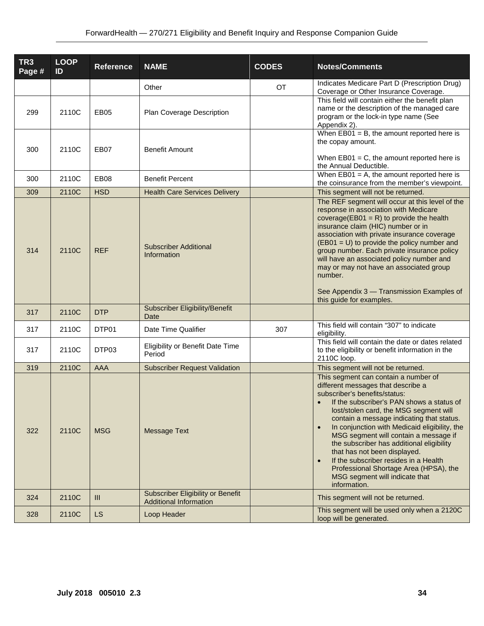| TR <sub>3</sub><br>Page # | <b>LOOP</b><br>ID | <b>Reference</b> | <b>NAME</b>                                                        | <b>CODES</b> | <b>Notes/Comments</b>                                                                                                                                                                                                                                                                                                                                                                                                                                                                                                                                                                 |
|---------------------------|-------------------|------------------|--------------------------------------------------------------------|--------------|---------------------------------------------------------------------------------------------------------------------------------------------------------------------------------------------------------------------------------------------------------------------------------------------------------------------------------------------------------------------------------------------------------------------------------------------------------------------------------------------------------------------------------------------------------------------------------------|
|                           |                   |                  | Other                                                              | <b>OT</b>    | Indicates Medicare Part D (Prescription Drug)<br>Coverage or Other Insurance Coverage.                                                                                                                                                                                                                                                                                                                                                                                                                                                                                                |
| 299                       | 2110C             | <b>EB05</b>      | Plan Coverage Description                                          |              | This field will contain either the benefit plan<br>name or the description of the managed care<br>program or the lock-in type name (See<br>Appendix 2).                                                                                                                                                                                                                                                                                                                                                                                                                               |
| 300                       | 2110C             | EB07             | <b>Benefit Amount</b>                                              |              | When $EB01 = B$ , the amount reported here is<br>the copay amount.<br>When $EB01 = C$ , the amount reported here is<br>the Annual Deductible.                                                                                                                                                                                                                                                                                                                                                                                                                                         |
| 300                       | 2110C             | EB08             | <b>Benefit Percent</b>                                             |              | When $EB01 = A$ , the amount reported here is<br>the coinsurance from the member's viewpoint.                                                                                                                                                                                                                                                                                                                                                                                                                                                                                         |
| 309                       | 2110C             | <b>HSD</b>       | <b>Health Care Services Delivery</b>                               |              | This segment will not be returned.                                                                                                                                                                                                                                                                                                                                                                                                                                                                                                                                                    |
| 314                       | 2110C             | <b>REF</b>       | <b>Subscriber Additional</b><br>Information                        |              | The REF segment will occur at this level of the<br>response in association with Medicare<br>coverage( $EB01 = R$ ) to provide the health<br>insurance claim (HIC) number or in<br>association with private insurance coverage<br>$(EB01 = U)$ to provide the policy number and<br>group number. Each private insurance policy<br>will have an associated policy number and<br>may or may not have an associated group<br>number.<br>See Appendix 3 - Transmission Examples of<br>this guide for examples.                                                                             |
| 317                       | 2110C             | <b>DTP</b>       | <b>Subscriber Eligibility/Benefit</b><br>Date                      |              |                                                                                                                                                                                                                                                                                                                                                                                                                                                                                                                                                                                       |
| 317                       | 2110C             | DTP01            | Date Time Qualifier                                                | 307          | This field will contain "307" to indicate<br>eligibility.                                                                                                                                                                                                                                                                                                                                                                                                                                                                                                                             |
| 317                       | 2110C             | DTP03            | Eligibility or Benefit Date Time<br>Period                         |              | This field will contain the date or dates related<br>to the eligibility or benefit information in the<br>2110C loop.                                                                                                                                                                                                                                                                                                                                                                                                                                                                  |
| 319                       | 2110C             | AAA              | <b>Subscriber Request Validation</b>                               |              | This segment will not be returned.                                                                                                                                                                                                                                                                                                                                                                                                                                                                                                                                                    |
| 322                       | 2110C             | <b>MSG</b>       | <b>Message Text</b>                                                |              | This segment can contain a number of<br>different messages that describe a<br>subscriber's benefits/status:<br>If the subscriber's PAN shows a status of<br>$\bullet$<br>lost/stolen card, the MSG segment will<br>contain a message indicating that status.<br>In conjunction with Medicaid eligibility, the<br>$\bullet$<br>MSG segment will contain a message if<br>the subscriber has additional eligibility<br>that has not been displayed.<br>If the subscriber resides in a Health<br>Professional Shortage Area (HPSA), the<br>MSG segment will indicate that<br>information. |
| 324                       | 2110C             | III              | Subscriber Eligibility or Benefit<br><b>Additional Information</b> |              | This segment will not be returned.                                                                                                                                                                                                                                                                                                                                                                                                                                                                                                                                                    |
| 328                       | 2110C             | <b>LS</b>        | Loop Header                                                        |              | This segment will be used only when a 2120C<br>loop will be generated.                                                                                                                                                                                                                                                                                                                                                                                                                                                                                                                |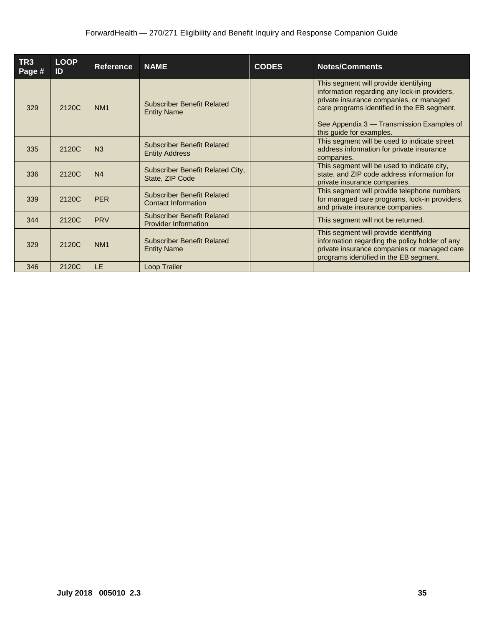| TR <sub>3</sub><br>Page # | <b>LOOP</b><br>ID | <b>Reference</b> | <b>NAME</b>                                                      | <b>CODES</b> | <b>Notes/Comments</b>                                                                                                                                                                                                                                    |
|---------------------------|-------------------|------------------|------------------------------------------------------------------|--------------|----------------------------------------------------------------------------------------------------------------------------------------------------------------------------------------------------------------------------------------------------------|
| 329                       | 2120C             | NM <sub>1</sub>  | <b>Subscriber Benefit Related</b><br><b>Entity Name</b>          |              | This segment will provide identifying<br>information regarding any lock-in providers,<br>private insurance companies, or managed<br>care programs identified in the EB segment.<br>See Appendix 3 – Transmission Examples of<br>this guide for examples. |
| 335                       | 2120C             | N <sub>3</sub>   | <b>Subscriber Benefit Related</b><br><b>Entity Address</b>       |              | This segment will be used to indicate street<br>address information for private insurance<br>companies.                                                                                                                                                  |
| 336                       | 2120C             | N <sub>4</sub>   | Subscriber Benefit Related City,<br>State, ZIP Code              |              | This segment will be used to indicate city,<br>state, and ZIP code address information for<br>private insurance companies.                                                                                                                               |
| 339                       | 2120C             | <b>PER</b>       | <b>Subscriber Benefit Related</b><br>Contact Information         |              | This segment will provide telephone numbers<br>for managed care programs, lock-in providers,<br>and private insurance companies.                                                                                                                         |
| 344                       | 2120C             | <b>PRV</b>       | <b>Subscriber Benefit Related</b><br><b>Provider Information</b> |              | This segment will not be returned.                                                                                                                                                                                                                       |
| 329                       | 2120C             | NM <sub>1</sub>  | <b>Subscriber Benefit Related</b><br><b>Entity Name</b>          |              | This segment will provide identifying<br>information regarding the policy holder of any<br>private insurance companies or managed care<br>programs identified in the EB segment.                                                                         |
| 346                       | 2120C             | LE.              | Loop Trailer                                                     |              |                                                                                                                                                                                                                                                          |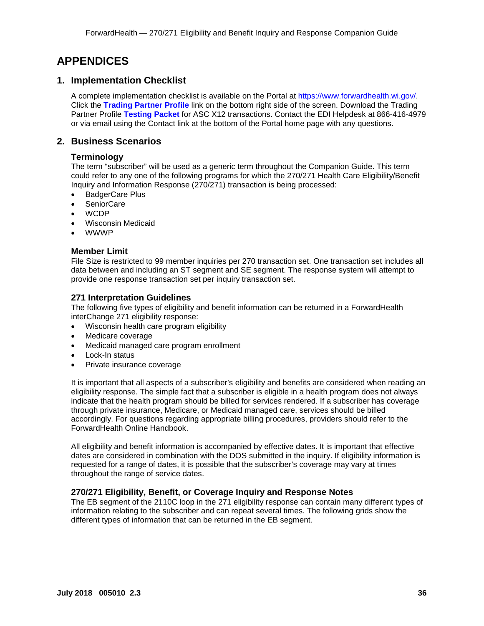## <span id="page-35-0"></span>**APPENDICES**

## <span id="page-35-1"></span>**1. Implementation Checklist**

A complete implementation checklist is available on the Portal at [https://www.forwardhealth.wi.gov/.](https://www.forwardhealth.wi.gov/)  Click the **Trading Partner Profile** link on the bottom right side of the screen. Download the Trading Partner Profile **Testing Packet** for ASC X12 transactions. Contact the EDI Helpdesk at 866-416-4979 or via email using the Contact link at the bottom of the Portal home page with any questions.

## <span id="page-35-2"></span>**2. Business Scenarios**

#### **Terminology**

The term "subscriber" will be used as a generic term throughout the Companion Guide. This term could refer to any one of the following programs for which the 270/271 Health Care Eligibility/Benefit Inquiry and Information Response (270/271) transaction is being processed:

- BadgerCare Plus
- SeniorCare
- WCDP
- Wisconsin Medicaid
- WWWP

#### **Member Limit**

File Size is restricted to 99 member inquiries per 270 transaction set. One transaction set includes all data between and including an ST segment and SE segment. The response system will attempt to provide one response transaction set per inquiry transaction set.

#### **271 Interpretation Guidelines**

The following five types of eligibility and benefit information can be returned in a ForwardHealth interChange 271 eligibility response:

- Wisconsin health care program eligibility
- Medicare coverage
- Medicaid managed care program enrollment
- Lock-In status
- Private insurance coverage

It is important that all aspects of a subscriber's eligibility and benefits are considered when reading an eligibility response. The simple fact that a subscriber is eligible in a health program does not always indicate that the health program should be billed for services rendered. If a subscriber has coverage through private insurance, Medicare, or Medicaid managed care, services should be billed accordingly. For questions regarding appropriate billing procedures, providers should refer to the ForwardHealth Online Handbook.

All eligibility and benefit information is accompanied by effective dates. It is important that effective dates are considered in combination with the DOS submitted in the inquiry. If eligibility information is requested for a range of dates, it is possible that the subscriber's coverage may vary at times throughout the range of service dates.

#### **270/271 Eligibility, Benefit, or Coverage Inquiry and Response Notes**

The EB segment of the 2110C loop in the 271 eligibility response can contain many different types of information relating to the subscriber and can repeat several times. The following grids show the different types of information that can be returned in the EB segment.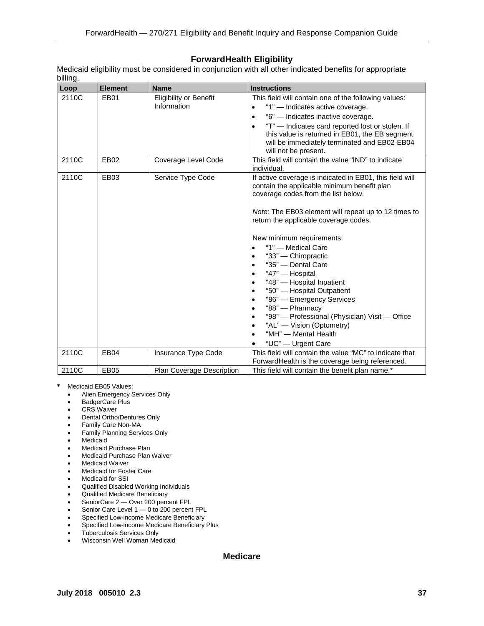## **ForwardHealth Eligibility**

Medicaid eligibility must be considered in conjunction with all other indicated benefits for appropriate billing.

| Loop  | <b>Element</b> | <b>Name</b>                   | <b>Instructions</b>                                                                                                                                                                                                                                                                                                                                                                                                                                                                                                                                                                                                     |
|-------|----------------|-------------------------------|-------------------------------------------------------------------------------------------------------------------------------------------------------------------------------------------------------------------------------------------------------------------------------------------------------------------------------------------------------------------------------------------------------------------------------------------------------------------------------------------------------------------------------------------------------------------------------------------------------------------------|
| 2110C | <b>EB01</b>    | <b>Eligibility or Benefit</b> | This field will contain one of the following values:                                                                                                                                                                                                                                                                                                                                                                                                                                                                                                                                                                    |
|       |                | Information                   | "1" - Indicates active coverage.                                                                                                                                                                                                                                                                                                                                                                                                                                                                                                                                                                                        |
|       |                |                               | "6" - Indicates inactive coverage.<br>$\bullet$                                                                                                                                                                                                                                                                                                                                                                                                                                                                                                                                                                         |
|       |                |                               | "T" - Indicates card reported lost or stolen. If<br>this value is returned in EB01, the EB segment<br>will be immediately terminated and EB02-EB04<br>will not be present.                                                                                                                                                                                                                                                                                                                                                                                                                                              |
| 2110C | EB02           | Coverage Level Code           | This field will contain the value "IND" to indicate<br>individual.                                                                                                                                                                                                                                                                                                                                                                                                                                                                                                                                                      |
| 2110C | <b>EB03</b>    | Service Type Code             | If active coverage is indicated in EB01, this field will<br>contain the applicable minimum benefit plan<br>coverage codes from the list below.<br>Note: The EB03 element will repeat up to 12 times to<br>return the applicable coverage codes.<br>New minimum requirements:<br>"1" - Medical Care<br>"33" - Chiropractic<br>"35" - Dental Care<br>"47" - Hospital<br>"48" - Hospital Inpatient<br>"50" - Hospital Outpatient<br>$\bullet$<br>"86" - Emergency Services<br>"88" - Pharmacy<br>"98" - Professional (Physician) Visit - Office<br>"AL" — Vision (Optometry)<br>"MH" - Mental Health<br>"UC" — Urgent Care |
| 2110C | <b>EB04</b>    | Insurance Type Code           | This field will contain the value "MC" to indicate that                                                                                                                                                                                                                                                                                                                                                                                                                                                                                                                                                                 |
|       |                |                               | ForwardHealth is the coverage being referenced.                                                                                                                                                                                                                                                                                                                                                                                                                                                                                                                                                                         |
| 2110C | <b>EB05</b>    | Plan Coverage Description     | This field will contain the benefit plan name.*                                                                                                                                                                                                                                                                                                                                                                                                                                                                                                                                                                         |

- **\*** Medicaid EB05 Values:
	- Alien Emergency Services Only
	- BadgerCare Plus
	- CRS Waiver
	- Dental Ortho/Dentures Only
	- Family Care Non-MA
	- Family Planning Services Only
	- Medicaid
	- Medicaid Purchase Plan
	- Medicaid Purchase Plan Waiver
	- Medicaid Waiver
	- Medicaid for Foster Care
	- Medicaid for SSI
	- Qualified Disabled Working Individuals
	- Qualified Medicare Beneficiary
	- SeniorCare 2 Over 200 percent FPL
	- Senior Care Level 1 0 to 200 percent FPL
	- Specified Low-income Medicare Beneficiary
	- Specified Low-income Medicare Beneficiary Plus
	- Tuberculosis Services Only
	- Wisconsin Well Woman Medicaid

### **Medicare**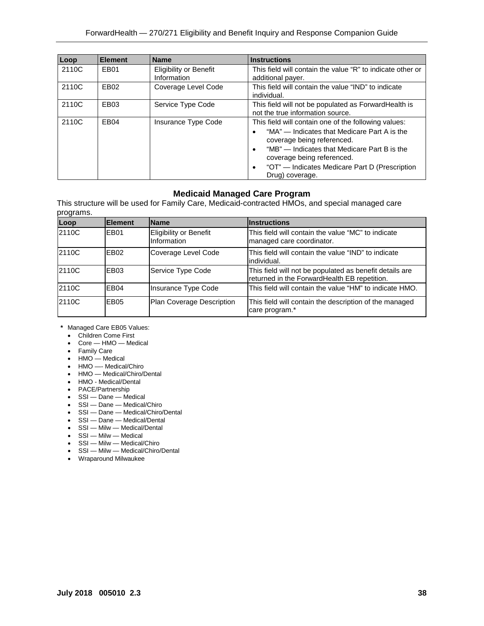| Loop  | <b>Element</b>   | <b>Name</b>                           | <b>Instructions</b>                                                                                                                                                                                                                                                                   |
|-------|------------------|---------------------------------------|---------------------------------------------------------------------------------------------------------------------------------------------------------------------------------------------------------------------------------------------------------------------------------------|
| 2110C | EB <sub>01</sub> | Eligibility or Benefit<br>Information | This field will contain the value "R" to indicate other or<br>additional payer.                                                                                                                                                                                                       |
| 2110C | EB02             | Coverage Level Code                   | This field will contain the value "IND" to indicate<br>individual.                                                                                                                                                                                                                    |
| 2110C | EB <sub>03</sub> | Service Type Code                     | This field will not be populated as ForwardHealth is<br>not the true information source.                                                                                                                                                                                              |
| 2110C | EB <sub>04</sub> | Insurance Type Code                   | This field will contain one of the following values:<br>"MA" — Indicates that Medicare Part A is the<br>coverage being referenced.<br>"MB" — Indicates that Medicare Part B is the<br>coverage being referenced.<br>"OT" - Indicates Medicare Part D (Prescription<br>Drug) coverage. |

## **Medicaid Managed Care Program**

This structure will be used for Family Care, Medicaid-contracted HMOs, and special managed care programs.

| Loop         | <b>Element</b>   | <b>Name</b>                           | <b>Instructions</b>                                                                                     |
|--------------|------------------|---------------------------------------|---------------------------------------------------------------------------------------------------------|
| 2110C        | EB01             | Eligibility or Benefit<br>Information | This field will contain the value "MC" to indicate<br>managed care coordinator.                         |
| 2110C        | EB <sub>02</sub> | Coverage Level Code                   | This field will contain the value "IND" to indicate<br>individual.                                      |
| 2110C        | EB03             | Service Type Code                     | This field will not be populated as benefit details are<br>returned in the ForwardHealth EB repetition. |
| <b>2110C</b> | EB <sub>04</sub> | Insurance Type Code                   | This field will contain the value "HM" to indicate HMO.                                                 |
| 2110C        | EB05             | Plan Coverage Description             | This field will contain the description of the managed<br>care program.*                                |

- **\*** Managed Care EB05 Values:
	- Children Come First
	- Core HMO Medical
	- Family Care
	- HMO Medical
	- HMO —- Medical/Chiro
	- HMO Medical/Chiro/Dental
	- HMO Medical/Dental
	- PACE/Partnership
	- SSI Dane Medical
	- SSI Dane Medical/Chiro
	- SSI Dane Medical/Chiro/Dental
	- SSI Dane Medical/Dental
	- SSI Milw Medical/Dental
	- SSI Milw Medical
	- SSI Milw Medical/Chiro
	- SSI Milw Medical/Chiro/Dental
	- Wraparound Milwaukee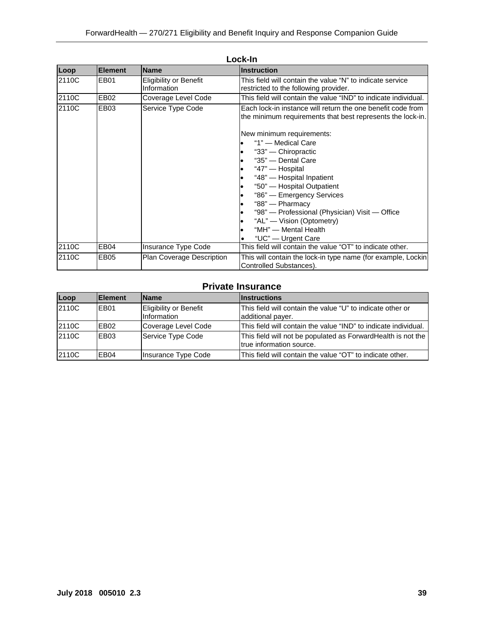|       | Lock-In          |                                              |                                                                                                                                                                                                                                                                               |  |  |  |  |
|-------|------------------|----------------------------------------------|-------------------------------------------------------------------------------------------------------------------------------------------------------------------------------------------------------------------------------------------------------------------------------|--|--|--|--|
| Loop  | <b>Element</b>   | <b>Name</b>                                  | <b>Instruction</b>                                                                                                                                                                                                                                                            |  |  |  |  |
| 2110C | <b>EB01</b>      | <b>Eligibility or Benefit</b><br>Information | This field will contain the value "N" to indicate service<br>restricted to the following provider.                                                                                                                                                                            |  |  |  |  |
| 2110C | EB <sub>02</sub> | Coverage Level Code                          | This field will contain the value "IND" to indicate individual.                                                                                                                                                                                                               |  |  |  |  |
| 2110C | EB03             | Service Type Code                            | Each lock-in instance will return the one benefit code from<br>the minimum requirements that best represents the lock-in.<br>New minimum requirements:<br>"1" — Medical Care<br>"33" - Chiropractic                                                                           |  |  |  |  |
|       |                  |                                              | "35" - Dental Care<br>"47" - Hospital<br>"48" - Hospital Inpatient<br>"50" — Hospital Outpatient<br>"86" - Emergency Services<br>"88" — Pharmacy<br>"98" — Professional (Physician) Visit — Office<br>"AL" — Vision (Optometry)<br>"MH" - Mental Health<br>"UC" — Urgent Care |  |  |  |  |
| 2110C | EB04             | Insurance Type Code                          | This field will contain the value "OT" to indicate other.                                                                                                                                                                                                                     |  |  |  |  |
| 2110C | EB <sub>05</sub> | Plan Coverage Description                    | This will contain the lock-in type name (for example, Lockin<br>Controlled Substances).                                                                                                                                                                                       |  |  |  |  |

## **Private Insurance**

| Loop  | <b>IElement</b>  | <b>Name</b>                           | <b>Instructions</b>                                                                       |
|-------|------------------|---------------------------------------|-------------------------------------------------------------------------------------------|
| 2110C | EB01             | Eligibility or Benefit<br>Information | This field will contain the value "U" to indicate other or<br>additional payer.           |
| 2110C | EB02             | Coverage Level Code                   | This field will contain the value "IND" to indicate individual.                           |
| 2110C | EB <sub>03</sub> | Service Type Code                     | This field will not be populated as Forward Health is not the<br>true information source. |
| 2110C | EB04             | Insurance Type Code                   | This field will contain the value "OT" to indicate other.                                 |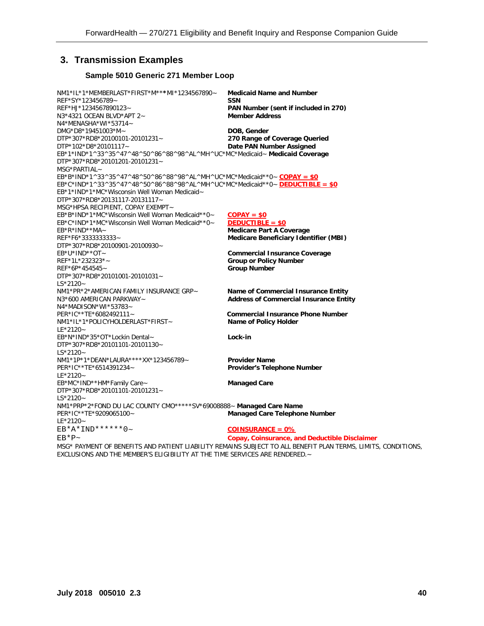## <span id="page-39-0"></span>**3. Transmission Examples**

#### **Sample 5010 Generic 271 Member Loop**

NM1\*IL\*1\*MEMBERLAST\*FIRST\*M\*\***\***MI\*1234567890~ **Medicaid Name and Number** REF\*SY\*123456789~ **SSN** REF\*HJ\*1234567890123~ **PAN Number (sent if included in 270)** N3\*4321 OCEAN BLVD\*APT 2~ N4\*MENASHA\*WI\*53714~ DMG\*D8\*19451003\*M~ **DOB, Gender** DTP\*307\*RD8\*20100101-20101231~ **270 Range of Coverage Queried** DTP\*102\*D8\*20101117~ **Date PAN Number Assigned** EB\*1\*IND\*1^33^35^47^48^50^86^88^98^AL^MH^UC\*MC\*Medicaid~ **Medicaid Coverage** DTP\*307\*RD8\*20101201-20101231~  $MSG*PARTIAL \sim$ EB\*B\*IND\*1^33^35^47^48^50^86^88^98^AL^MH^UC\*MC\*Medicaid\*\*0~ **COPAY = \$0** EB\*C\*IND\*1^33^35^47^48^50^86^88^98^AL^MH^UC\*MC\*Medicaid\*\*0~ **DEDUCTIBLE = \$0** EB\*1\*IND\*1\*MC\*Wisconsin Well Woman Medicaid~ DTP\*307\*RD8\*20131117-20131117~ MSG\*HPSA RECIPIENT, COPAY EXEMPT~ EB\*B\*IND\*1\*MC\*Wisconsin Well Woman Medicaid\*\*0~ **COPAY = \$0**<br>EB\*C\*IND\*1\*MC\*Wisconsin Well Woman Medicaid\*\*0~ **DEDUCTIBLE = \$0** EB\*C\*IND\*1\*MC\*Wisconsin Well Woman Medicaid\*\*0~<br>EB\*R\*IND\*\*MA~ **Medicare Part A Coverage** REF\*F6\*3333333333~ **Medicare Beneficiary Identifier (MBI)** DTP\*307\*RD8\*20100901-20100930~<br>EB\*U\*IND\*\*OT~ **Commercial Insurance Coverage** REF\*1L\*232323\*~ **Group or Policy Number** REF\*6P\*454545~ **Group Number** DTP\*307\*RD8\*20101001-20101031~ LS\*2120~ NM1\*PR\*2\*AMERICAN FAMILY INSURANCE GRP~ **Name of Commercial Insurance Entity** Address of Commercial Insurance Entity N4\*MADISON\*WI\*53783~<br>PER\*IC\*\*TE\*6082492111~ **Commercial Insurance Phone Number** NM1\*IL\*1\*POLICYHOLDERLAST\*FIRST~ **Name of Policy Holder** LE\*2120~ EB\*N\*IND\*35\*OT\*Lockin Dental~ **Lock-in** DTP\*307\*RD8\*20101101-20101130~ LS\*2120~ NM1\*1P\*1\*DEAN\*LAURA\*\*\*\*XX\*123456789~ **Provider Name** Provider's Telephone Number LE\*2120~ EB\*MC\*IND\*\*HM\*Family Care~ **Managed Care** DTP\*307\*RD8\*20101101-20101231~ LS\*2120~ NM1\*PRP\*2\*FOND DU LAC COUNTY CMO\*\*\*\*\*SV\*69008888~ **Managed Care Name Managed Care Telephone Number** LE\*2120~  $EB*A*IND******0~$ <br>EB\*P~ **COINSURANCE = 0% Copay, Coinsurance, and Deductible Disclaimer** MSG\* PAYMENT OF BENEFITS AND PATIENT LIABILITY REMAINS SUBJECT TO ALL BENEFIT PLAN TERMS, LIMITS, CONDITIONS, EXCLUSIONS AND THE MEMBER'S ELIGIBILITY AT THE TIME SERVICES ARE RENDERED.~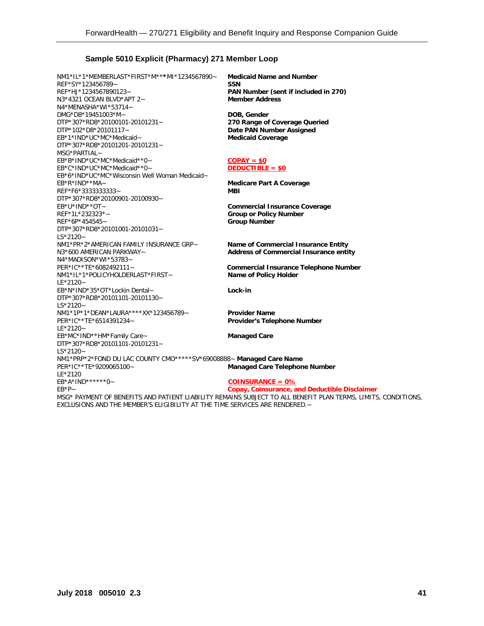#### **Sample 5010 Explicit (Pharmacy) 271 Member Loop**

NM1\*IL\*1\*MEMBERLAST\*FIRST\*M\*\***\***MI\*1234567890~ **Medicaid Name and Number** REF\*SY\*123456789~ **SSN** REF\*HJ\*1234567890123~ **PAN Number (sent if included in 270)** N3\*4321 OCEAN BLVD\*APT 2~ **Member Address** N4\*MENASHA\*WI\*53714~ DMG\*D8\*19451003\*M~ **DOB, Gender** DTP\*307\*RD8\*20100101-20101231~<br>DTP\*102\*D8\*20101117~ Date PAN Number Assigned EB\*1\*IND\*UC\*MC\*Medicaid~ **Medicaid Coverage** DTP\*307\*RD8\*20101201-20101231~ MSG\*PARTIAL~  $EB*B^*IND^*UC^*MC^*Medical^*0~$ EB\*C\*IND\*UC\*MC\*Medicaid\*\*0~ **DEDUCTIBLE = \$0** EB\*6\*IND\*UC\*MC\*Wisconsin Well Woman Medicaid~ EB\*R\*IND\*\*MA~ **Medicare Part A Coverage** REF\*F6\*3333333333~ **MBI** DTP\*307\*RD8\*20100901-20100930~ EB\*U\*IND\*\*OT~ **Commercial Insurance Coverage** REF\*1L\*232323\*~ **Group or Policy Number** REF\*6P\*454545~ **Group Number** DTP\*307\*RD8\*20101001-20101031~  $LS*2120-$ NM1\*PR\*2\*AMERICAN FAMILY INSURANCE GRP~ **Name of Commercial Insurance Entity** N3\*600 AMERICAN PARKWAY~ **Address of Commercial Insurance entity** N4\*MADISON\*WI\*53783~ PER\*IC\*\*TE\*6082492111~ **Commercial Insurance Telephone Number** NM1\*IL\*1\*POLICYHOLDERLAST\*FIRST~ **Name of Policy Holder**  $LE*2120-$ EB\*N\*IND\*35\*OT\*Lockin Dental~ **Lock-in** DTP\*307\*RD8\*20101101-20101130~  $I$  S<sup>\*</sup>2120~ NM1\*1P\*1\*DEAN\*LAURA\*\*\*\*XX\*123456789~ **Provider Name** Provider's Telephone Number LE\*2120~ EB\*MC\*IND\*\*HM\*Family Care~ **Managed Care** DTP\*307\*RD8\*20101101-20101231~ LS\*2120~ NM1\*PRP\*2\*FOND DU LAC COUNTY CMO\*\*\*\*\*SV\*69008888~ **Managed Care Name Managed Care Telephone Number** LE\*2120<br>EB\*A\*IND\*\*\*\*\*\*0~  $COINSURANCE = 0%$ EB\*P~ **Copay, Coinsurance, and Deductible Disclaimer** MSG\* PAYMENT OF BENEFITS AND PATIENT LIABILITY REMAINS SUBJECT TO ALL BENEFIT PLAN TERMS, LIMITS, CONDITIONS, EXCLUSIONS AND THE MEMBER'S ELIGIBILITY AT THE TIME SERVICES ARE RENDERED.~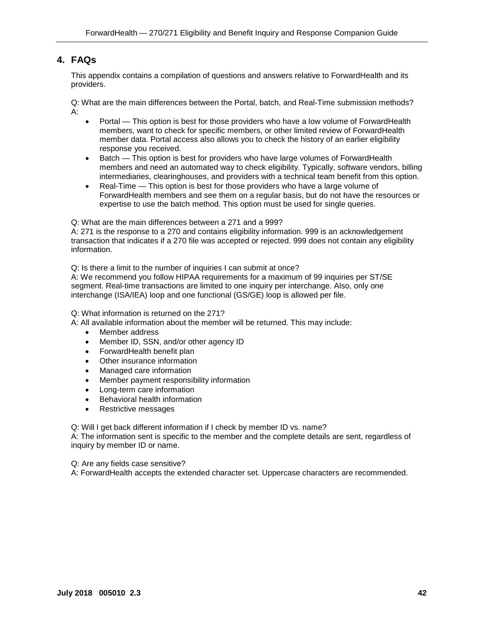## <span id="page-41-0"></span>**4. FAQs**

This appendix contains a compilation of questions and answers relative to ForwardHealth and its providers.

Q: What are the main differences between the Portal, batch, and Real-Time submission methods? A:

- Portal This option is best for those providers who have a low volume of ForwardHealth members, want to check for specific members, or other limited review of ForwardHealth member data. Portal access also allows you to check the history of an earlier eligibility response you received.
- Batch This option is best for providers who have large volumes of ForwardHealth members and need an automated way to check eligibility. Typically, software vendors, billing intermediaries, clearinghouses, and providers with a technical team benefit from this option.
- Real-Time This option is best for those providers who have a large volume of ForwardHealth members and see them on a regular basis, but do not have the resources or expertise to use the batch method. This option must be used for single queries.

Q: What are the main differences between a 271 and a 999?

A: 271 is the response to a 270 and contains eligibility information. 999 is an acknowledgement transaction that indicates if a 270 file was accepted or rejected. 999 does not contain any eligibility information.

Q: Is there a limit to the number of inquiries I can submit at once?

A: We recommend you follow HIPAA requirements for a maximum of 99 inquiries per ST/SE segment. Real-time transactions are limited to one inquiry per interchange. Also, only one interchange (ISA/IEA) loop and one functional (GS/GE) loop is allowed per file.

Q: What information is returned on the 271?

A: All available information about the member will be returned. This may include:

- Member address
- Member ID, SSN, and/or other agency ID
- ForwardHealth benefit plan
- Other insurance information
- Managed care information
- Member payment responsibility information
- Long-term care information
- Behavioral health information
- Restrictive messages

Q: Will I get back different information if I check by member ID vs. name?

A: The information sent is specific to the member and the complete details are sent, regardless of inquiry by member ID or name.

Q: Are any fields case sensitive?

A: ForwardHealth accepts the extended character set. Uppercase characters are recommended.